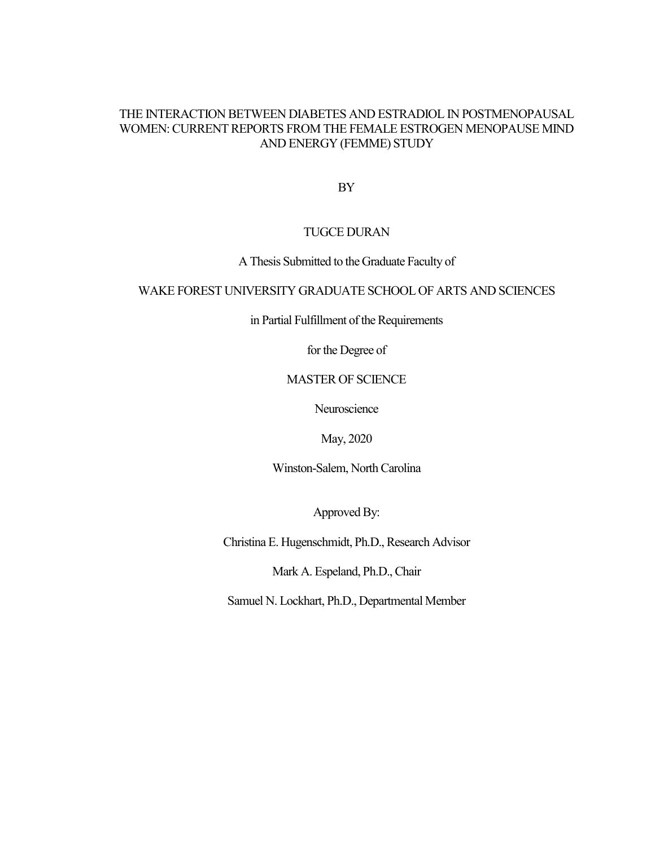# THE INTERACTION BETWEEN DIABETES AND ESTRADIOL IN POSTMENOPAUSAL WOMEN: CURRENT REPORTS FROM THE FEMALE ESTROGEN MENOPAUSE MIND AND ENERGY (FEMME) STUDY

BY

# TUGCE DURAN

# A Thesis Submitted to the Graduate Faculty of

# WAKE FOREST UNIVERSITY GRADUATE SCHOOL OF ARTS AND SCIENCES

in Partial Fulfillment of the Requirements

for the Degree of

# MASTER OF SCIENCE

Neuroscience

May, 2020

Winston-Salem, North Carolina

Approved By:

Christina E. Hugenschmidt, Ph.D., Research Advisor

Mark A. Espeland, Ph.D., Chair

Samuel N. Lockhart, Ph.D., Departmental Member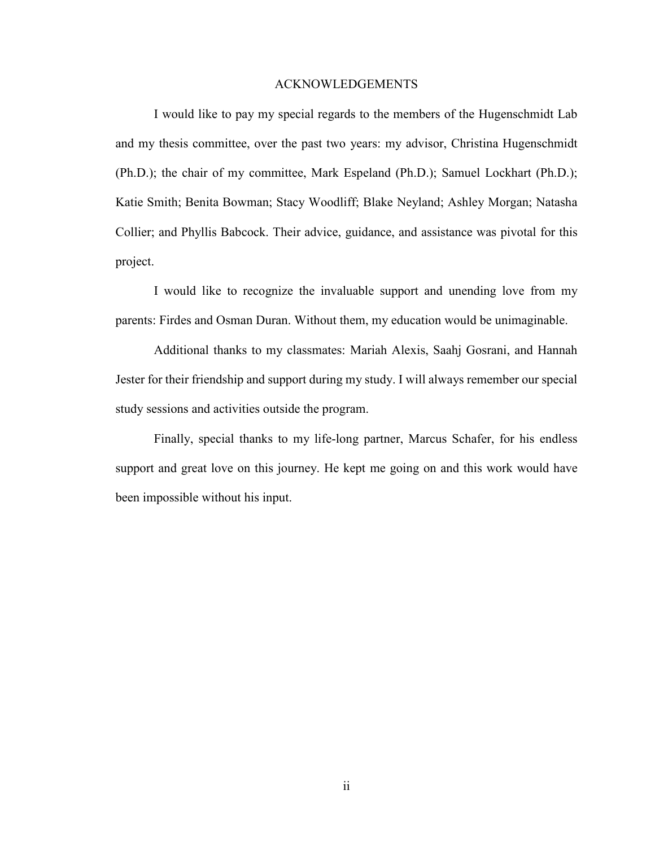#### ACKNOWLEDGEMENTS

I would like to pay my special regards to the members of the Hugenschmidt Lab and my thesis committee, over the past two years: my advisor, Christina Hugenschmidt (Ph.D.); the chair of my committee, Mark Espeland (Ph.D.); Samuel Lockhart (Ph.D.); Katie Smith; Benita Bowman; Stacy Woodliff; Blake Neyland; Ashley Morgan; Natasha Collier; and Phyllis Babcock. Their advice, guidance, and assistance was pivotal for this project.

I would like to recognize the invaluable support and unending love from my parents: Firdes and Osman Duran. Without them, my education would be unimaginable.

Additional thanks to my classmates: Mariah Alexis, Saahj Gosrani, and Hannah Jester for their friendship and support during my study. I will always remember our special study sessions and activities outside the program.

Finally, special thanks to my life-long partner, Marcus Schafer, for his endless support and great love on this journey. He kept me going on and this work would have been impossible without his input.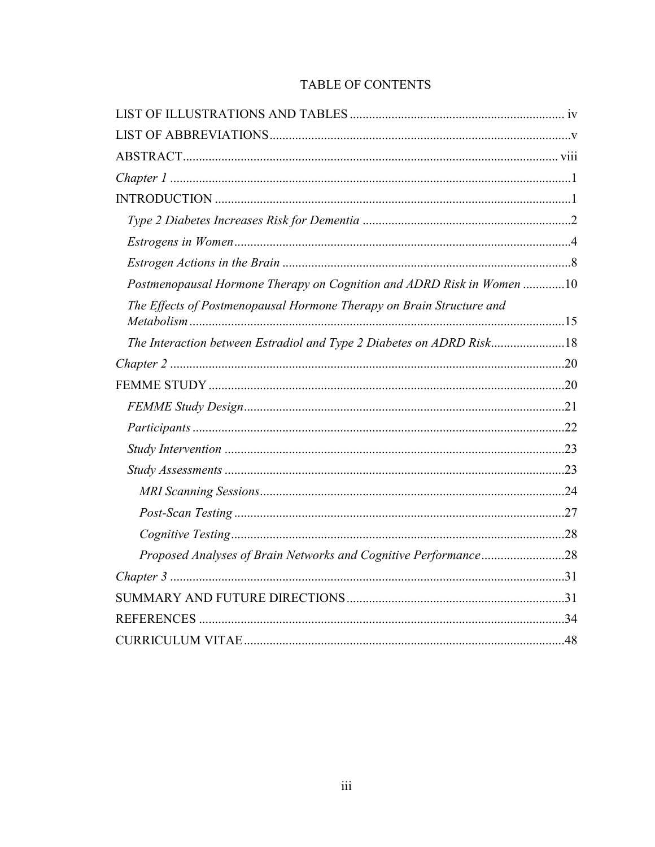| Postmenopausal Hormone Therapy on Cognition and ADRD Risk in Women 10 |  |
|-----------------------------------------------------------------------|--|
| The Effects of Postmenopausal Hormone Therapy on Brain Structure and  |  |
| The Interaction between Estradiol and Type 2 Diabetes on ADRD Risk18  |  |
|                                                                       |  |
|                                                                       |  |
|                                                                       |  |
|                                                                       |  |
|                                                                       |  |
|                                                                       |  |
|                                                                       |  |
|                                                                       |  |
|                                                                       |  |
| Proposed Analyses of Brain Networks and Cognitive Performance28       |  |
|                                                                       |  |
|                                                                       |  |
|                                                                       |  |
|                                                                       |  |

# TABLE OF CONTENTS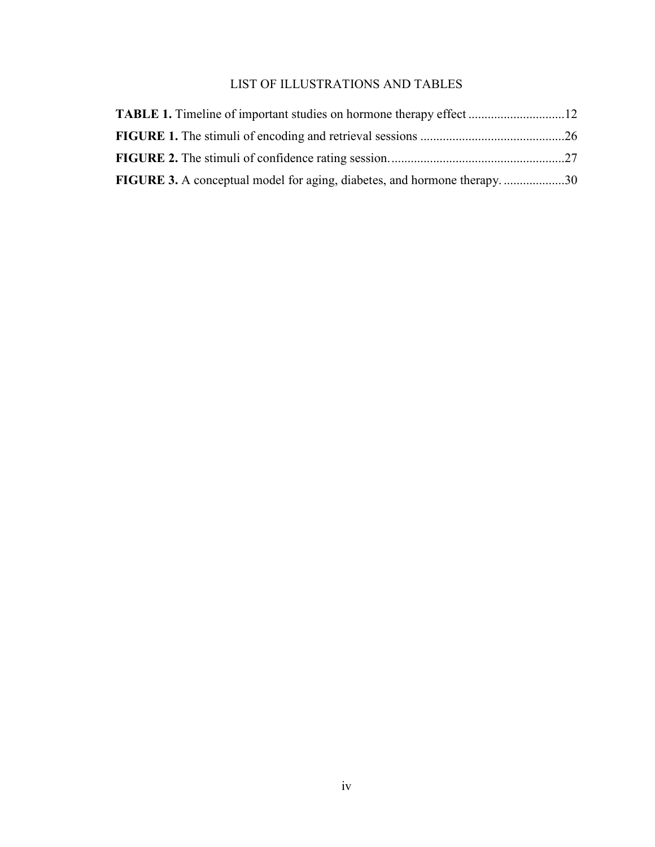# LIST OF ILLUSTRATIONS AND TABLES

| <b>FIGURE 3.</b> A conceptual model for aging, diabetes, and hormone therapy. 30 |  |
|----------------------------------------------------------------------------------|--|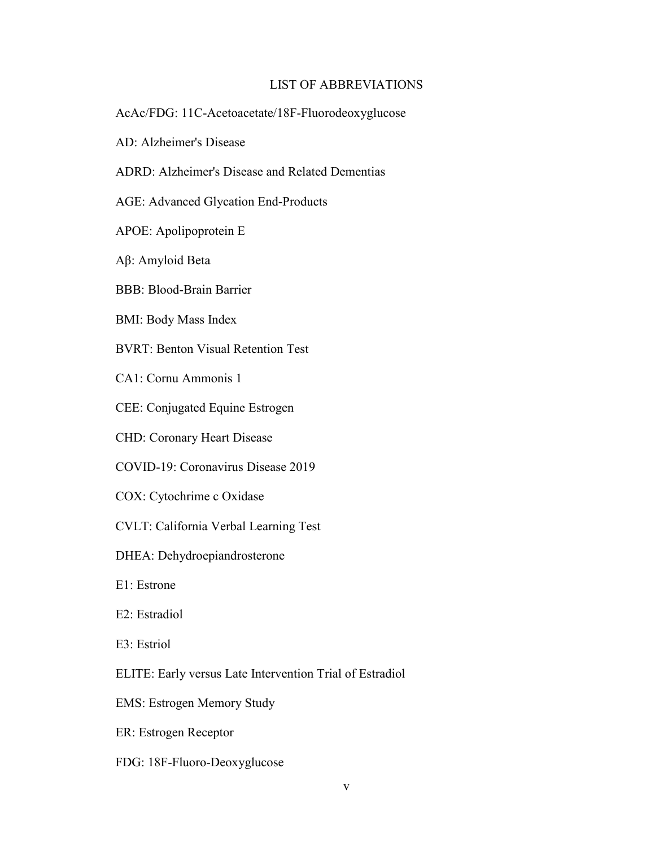# LIST OF ABBREVIATIONS

- AcAc/FDG: 11C-Acetoacetate/18F-Fluorodeoxyglucose
- AD: Alzheimer's Disease
- ADRD: Alzheimer's Disease and Related Dementias
- AGE: Advanced Glycation End-Products
- APOE: Apolipoprotein E
- Aβ: Amyloid Beta
- BBB: Blood-Brain Barrier
- BMI: Body Mass Index
- BVRT: Benton Visual Retention Test
- CA1: Cornu Ammonis 1
- CEE: Conjugated Equine Estrogen
- CHD: Coronary Heart Disease
- COVID-19: Coronavirus Disease 2019
- COX: Cytochrime c Oxidase
- CVLT: California Verbal Learning Test
- DHEA: Dehydroepiandrosterone
- E1: Estrone
- E2: Estradiol
- E3: Estriol
- ELITE: Early versus Late Intervention Trial of Estradiol
- EMS: Estrogen Memory Study
- ER: Estrogen Receptor
- FDG: 18F-Fluoro-Deoxyglucose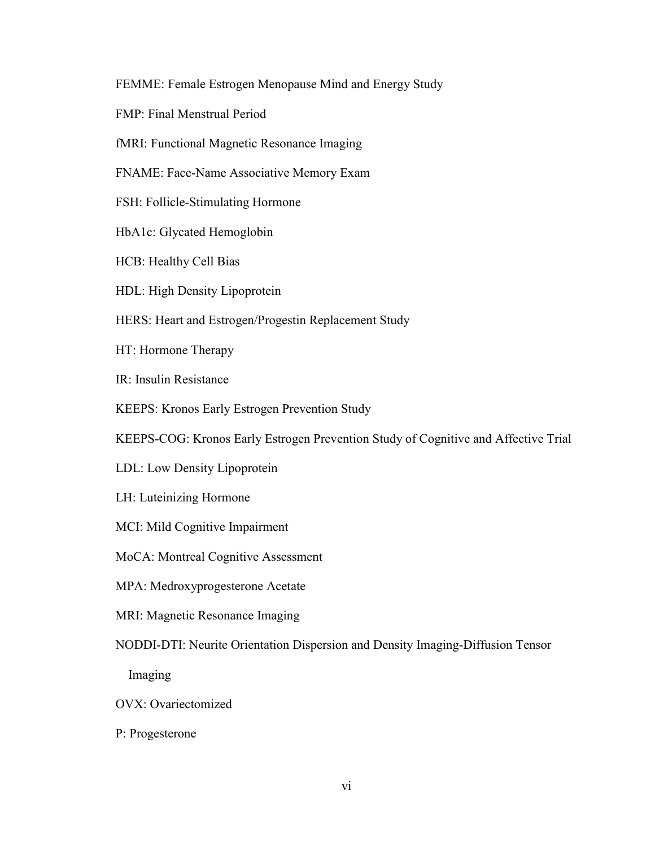FEMME: Female Estrogen Menopause Mind and Energy Study

FMP: Final Menstrual Period

fMRI: Functional Magnetic Resonance Imaging

FNAME: Face-Name Associative Memory Exam

FSH: Follicle-Stimulating Hormone

HbA1c: Glycated Hemoglobin

HCB: Healthy Cell Bias

HDL: High Density Lipoprotein

HERS: Heart and Estrogen/Progestin Replacement Study

HT: Hormone Therapy

IR: Insulin Resistance

KEEPS: Kronos Early Estrogen Prevention Study

KEEPS-COG: Kronos Early Estrogen Prevention Study of Cognitive and Affective Trial

LDL: Low Density Lipoprotein

LH: Luteinizing Hormone

MCI: Mild Cognitive Impairment

MoCA: Montreal Cognitive Assessment

MPA: Medroxyprogesterone Acetate

MRI: Magnetic Resonance Imaging

NODDI-DTI: Neurite Orientation Dispersion and Density Imaging-Diffusion Tensor

Imaging

OVX: Ovariectomized

P: Progesterone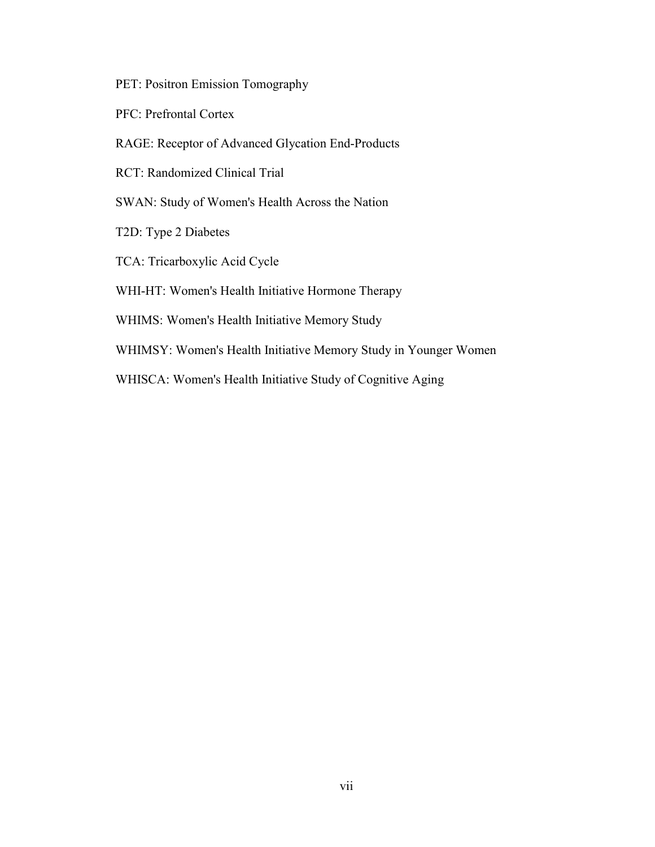PET: Positron Emission Tomography

- PFC: Prefrontal Cortex
- RAGE: Receptor of Advanced Glycation End-Products

RCT: Randomized Clinical Trial

- SWAN: Study of Women's Health Across the Nation
- T2D: Type 2 Diabetes
- TCA: Tricarboxylic Acid Cycle
- WHI-HT: Women's Health Initiative Hormone Therapy
- WHIMS: Women's Health Initiative Memory Study
- WHIMSY: Women's Health Initiative Memory Study in Younger Women
- WHISCA: Women's Health Initiative Study of Cognitive Aging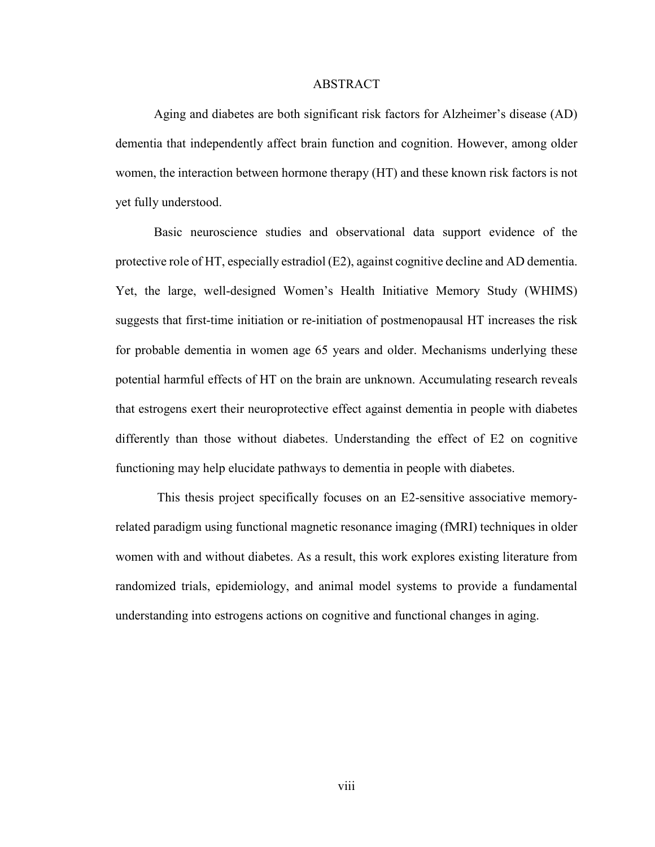#### ABSTRACT

Aging and diabetes are both significant risk factors for Alzheimer's disease (AD) dementia that independently affect brain function and cognition. However, among older women, the interaction between hormone therapy (HT) and these known risk factors is not yet fully understood.

Basic neuroscience studies and observational data support evidence of the protective role of HT, especially estradiol (E2), against cognitive decline and AD dementia. Yet, the large, well-designed Women's Health Initiative Memory Study (WHIMS) suggests that first-time initiation or re-initiation of postmenopausal HT increases the risk for probable dementia in women age 65 years and older. Mechanisms underlying these potential harmful effects of HT on the brain are unknown. Accumulating research reveals that estrogens exert their neuroprotective effect against dementia in people with diabetes differently than those without diabetes. Understanding the effect of E2 on cognitive functioning may help elucidate pathways to dementia in people with diabetes.

 This thesis project specifically focuses on an E2-sensitive associative memoryrelated paradigm using functional magnetic resonance imaging (fMRI) techniques in older women with and without diabetes. As a result, this work explores existing literature from randomized trials, epidemiology, and animal model systems to provide a fundamental understanding into estrogens actions on cognitive and functional changes in aging.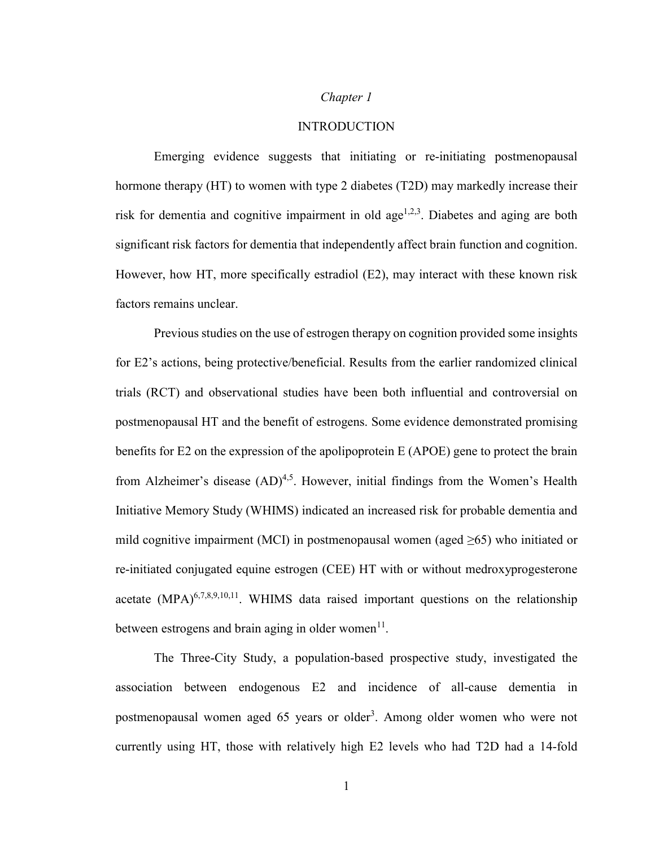## *Chapter 1*

# INTRODUCTION

Emerging evidence suggests that initiating or re-initiating postmenopausal hormone therapy (HT) to women with type 2 diabetes (T2D) may markedly increase their risk for dementia and cognitive impairment in old age<sup> $1,2,3$ </sup>. Diabetes and aging are both significant risk factors for dementia that independently affect brain function and cognition. However, how HT, more specifically estradiol (E2), may interact with these known risk factors remains unclear.

Previous studies on the use of estrogen therapy on cognition provided some insights for E2's actions, being protective/beneficial. Results from the earlier randomized clinical trials (RCT) and observational studies have been both influential and controversial on postmenopausal HT and the benefit of estrogens. Some evidence demonstrated promising benefits for E2 on the expression of the apolipoprotein E (APOE) gene to protect the brain from Alzheimer's disease  $(AD)^{4,5}$ . However, initial findings from the Women's Health Initiative Memory Study (WHIMS) indicated an increased risk for probable dementia and mild cognitive impairment (MCI) in postmenopausal women (aged  $\geq 65$ ) who initiated or re-initiated conjugated equine estrogen (CEE) HT with or without medroxyprogesterone acetate  $(MPA)^{6,7,8,9,10,11}$ . WHIMS data raised important questions on the relationship between estrogens and brain aging in older women $<sup>11</sup>$ .</sup>

The Three-City Study, a population-based prospective study, investigated the association between endogenous E2 and incidence of all-cause dementia in postmenopausal women aged 65 years or older<sup>3</sup>. Among older women who were not currently using HT, those with relatively high E2 levels who had T2D had a 14-fold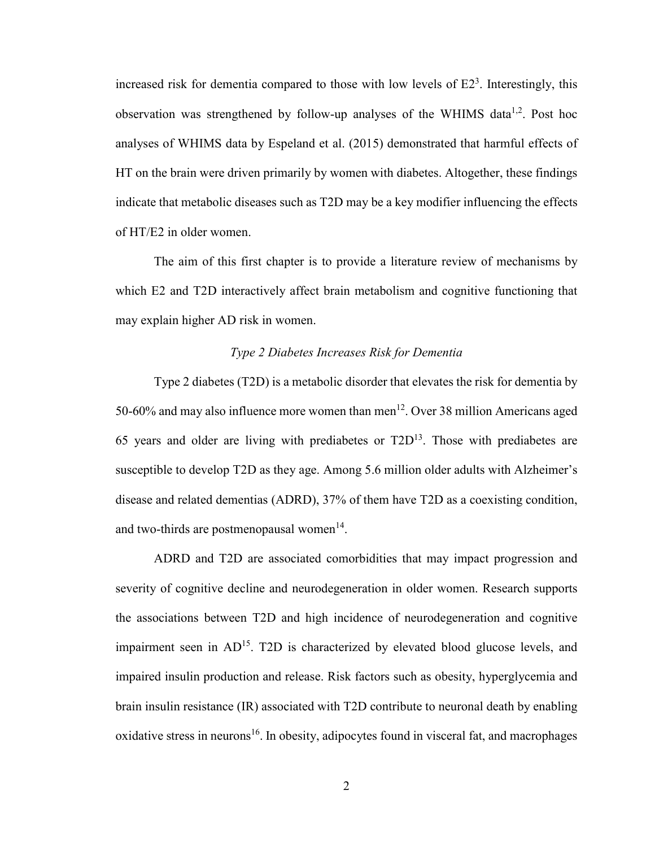increased risk for dementia compared to those with low levels of  $E2<sup>3</sup>$ . Interestingly, this observation was strengthened by follow-up analyses of the WHIMS data<sup>1,2</sup>. Post hoc analyses of WHIMS data by Espeland et al. (2015) demonstrated that harmful effects of HT on the brain were driven primarily by women with diabetes. Altogether, these findings indicate that metabolic diseases such as T2D may be a key modifier influencing the effects of HT/E2 in older women.

The aim of this first chapter is to provide a literature review of mechanisms by which E2 and T2D interactively affect brain metabolism and cognitive functioning that may explain higher AD risk in women.

# *Type 2 Diabetes Increases Risk for Dementia*

Type 2 diabetes (T2D) is a metabolic disorder that elevates the risk for dementia by 50-60% and may also influence more women than men<sup>12</sup>. Over 38 million Americans aged 65 years and older are living with prediabetes or  $T2D^{13}$ . Those with prediabetes are susceptible to develop T2D as they age. Among 5.6 million older adults with Alzheimer's disease and related dementias (ADRD), 37% of them have T2D as a coexisting condition, and two-thirds are postmenopausal women $14$ .

ADRD and T2D are associated comorbidities that may impact progression and severity of cognitive decline and neurodegeneration in older women. Research supports the associations between T2D and high incidence of neurodegeneration and cognitive impairment seen in  $AD^{15}$ . T2D is characterized by elevated blood glucose levels, and impaired insulin production and release. Risk factors such as obesity, hyperglycemia and brain insulin resistance (IR) associated with T2D contribute to neuronal death by enabling oxidative stress in neurons<sup>16</sup>. In obesity, adipocytes found in visceral fat, and macrophages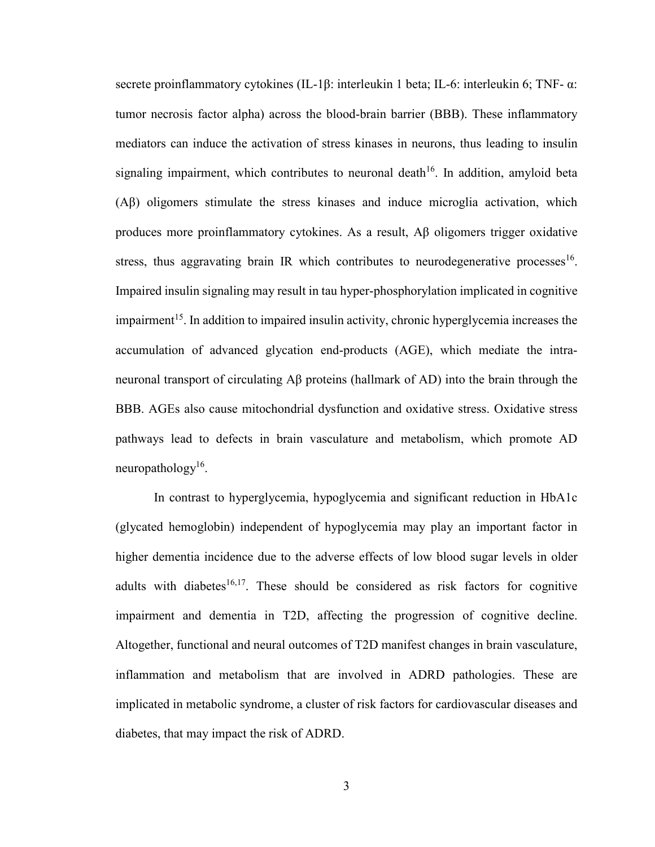secrete proinflammatory cytokines (IL-1β: interleukin 1 beta; IL-6: interleukin 6; TNF- α: tumor necrosis factor alpha) across the blood-brain barrier (BBB). These inflammatory mediators can induce the activation of stress kinases in neurons, thus leading to insulin signaling impairment, which contributes to neuronal death<sup>16</sup>. In addition, amyloid beta (Aβ) oligomers stimulate the stress kinases and induce microglia activation, which produces more proinflammatory cytokines. As a result, Aβ oligomers trigger oxidative stress, thus aggravating brain IR which contributes to neurodegenerative processes<sup>16</sup>. Impaired insulin signaling may result in tau hyper-phosphorylation implicated in cognitive impairment<sup>15</sup>. In addition to impaired insulin activity, chronic hyperglycemia increases the accumulation of advanced glycation end-products (AGE), which mediate the intraneuronal transport of circulating Aβ proteins (hallmark of AD) into the brain through the BBB. AGEs also cause mitochondrial dysfunction and oxidative stress. Oxidative stress pathways lead to defects in brain vasculature and metabolism, which promote AD neuropathology<sup>16</sup>.

In contrast to hyperglycemia, hypoglycemia and significant reduction in HbA1c (glycated hemoglobin) independent of hypoglycemia may play an important factor in higher dementia incidence due to the adverse effects of low blood sugar levels in older adults with diabetes<sup>16,17</sup>. These should be considered as risk factors for cognitive impairment and dementia in T2D, affecting the progression of cognitive decline. Altogether, functional and neural outcomes of T2D manifest changes in brain vasculature, inflammation and metabolism that are involved in ADRD pathologies. These are implicated in metabolic syndrome, a cluster of risk factors for cardiovascular diseases and diabetes, that may impact the risk of ADRD.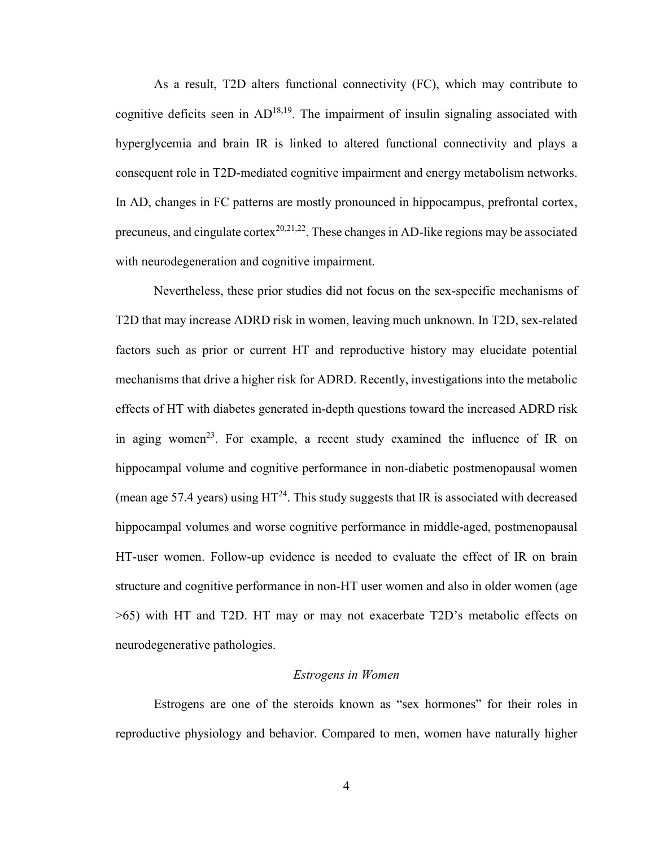As a result, T2D alters functional connectivity (FC), which may contribute to cognitive deficits seen in  $AD^{18,19}$ . The impairment of insulin signaling associated with hyperglycemia and brain IR is linked to altered functional connectivity and plays a consequent role in T2D-mediated cognitive impairment and energy metabolism networks. In AD, changes in FC patterns are mostly pronounced in hippocampus, prefrontal cortex, precuneus, and cingulate cortex<sup>20,21,22</sup>. These changes in AD-like regions may be associated with neurodegeneration and cognitive impairment.

Nevertheless, these prior studies did not focus on the sex-specific mechanisms of T2D that may increase ADRD risk in women, leaving much unknown. In T2D, sex-related factors such as prior or current HT and reproductive history may elucidate potential mechanisms that drive a higher risk for ADRD. Recently, investigations into the metabolic effects of HT with diabetes generated in-depth questions toward the increased ADRD risk in aging women<sup>23</sup>. For example, a recent study examined the influence of IR on hippocampal volume and cognitive performance in non-diabetic postmenopausal women (mean age 57.4 years) using  $HT^{24}$ . This study suggests that IR is associated with decreased hippocampal volumes and worse cognitive performance in middle-aged, postmenopausal HT-user women. Follow-up evidence is needed to evaluate the effect of IR on brain structure and cognitive performance in non-HT user women and also in older women (age >65) with HT and T2D. HT may or may not exacerbate T2D's metabolic effects on neurodegenerative pathologies.

#### *Estrogens in Women*

Estrogens are one of the steroids known as "sex hormones" for their roles in reproductive physiology and behavior. Compared to men, women have naturally higher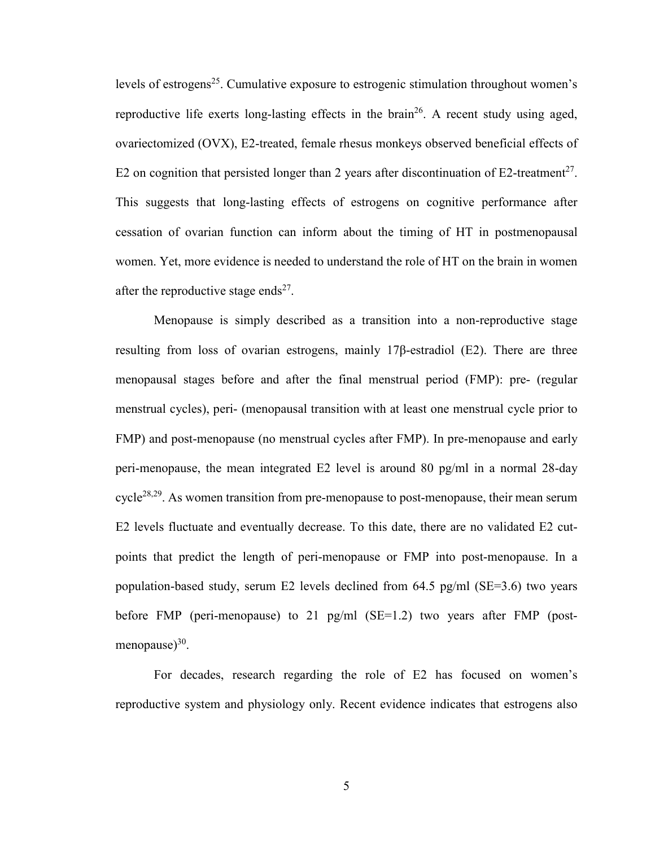levels of estrogens<sup>25</sup>. Cumulative exposure to estrogenic stimulation throughout women's reproductive life exerts long-lasting effects in the brain<sup>26</sup>. A recent study using aged, ovariectomized (OVX), E2-treated, female rhesus monkeys observed beneficial effects of E2 on cognition that persisted longer than 2 years after discontinuation of E2-treatment<sup>27</sup>. This suggests that long-lasting effects of estrogens on cognitive performance after cessation of ovarian function can inform about the timing of HT in postmenopausal women. Yet, more evidence is needed to understand the role of HT on the brain in women after the reproductive stage ends<sup>27</sup>.

Menopause is simply described as a transition into a non-reproductive stage resulting from loss of ovarian estrogens, mainly 17β-estradiol (E2). There are three menopausal stages before and after the final menstrual period (FMP): pre- (regular menstrual cycles), peri- (menopausal transition with at least one menstrual cycle prior to FMP) and post-menopause (no menstrual cycles after FMP). In pre-menopause and early peri-menopause, the mean integrated E2 level is around 80 pg/ml in a normal 28-day cycle<sup>28,29</sup>. As women transition from pre-menopause to post-menopause, their mean serum E2 levels fluctuate and eventually decrease. To this date, there are no validated E2 cutpoints that predict the length of peri-menopause or FMP into post-menopause. In a population-based study, serum E2 levels declined from 64.5 pg/ml (SE=3.6) two years before FMP (peri-menopause) to 21 pg/ml (SE=1.2) two years after FMP (postmenopause)<sup>30</sup>.

For decades, research regarding the role of E2 has focused on women's reproductive system and physiology only. Recent evidence indicates that estrogens also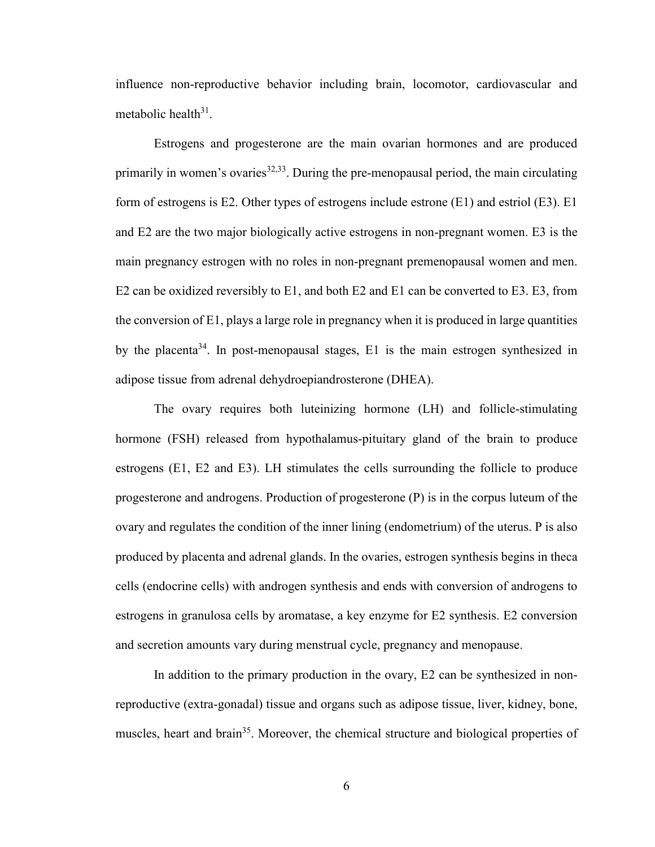influence non-reproductive behavior including brain, locomotor, cardiovascular and metabolic health<sup>31</sup>.

Estrogens and progesterone are the main ovarian hormones and are produced primarily in women's ovaries  $32,33$ . During the pre-menopausal period, the main circulating form of estrogens is E2. Other types of estrogens include estrone (E1) and estriol (E3). E1 and E2 are the two major biologically active estrogens in non-pregnant women. E3 is the main pregnancy estrogen with no roles in non-pregnant premenopausal women and men. E2 can be oxidized reversibly to E1, and both E2 and E1 can be converted to E3. E3, from the conversion of  $E1$ , plays a large role in pregnancy when it is produced in large quantities by the placenta<sup>34</sup>. In post-menopausal stages, E1 is the main estrogen synthesized in adipose tissue from adrenal dehydroepiandrosterone (DHEA).

The ovary requires both luteinizing hormone (LH) and follicle-stimulating hormone (FSH) released from hypothalamus-pituitary gland of the brain to produce estrogens (E1, E2 and E3). LH stimulates the cells surrounding the follicle to produce progesterone and androgens. Production of progesterone (P) is in the corpus luteum of the ovary and regulates the condition of the inner lining (endometrium) of the uterus. P is also produced by placenta and adrenal glands. In the ovaries, estrogen synthesis begins in theca cells (endocrine cells) with androgen synthesis and ends with conversion of androgens to estrogens in granulosa cells by aromatase, a key enzyme for E2 synthesis. E2 conversion and secretion amounts vary during menstrual cycle, pregnancy and menopause.

In addition to the primary production in the ovary, E2 can be synthesized in nonreproductive (extra-gonadal) tissue and organs such as adipose tissue, liver, kidney, bone, muscles, heart and brain<sup>35</sup>. Moreover, the chemical structure and biological properties of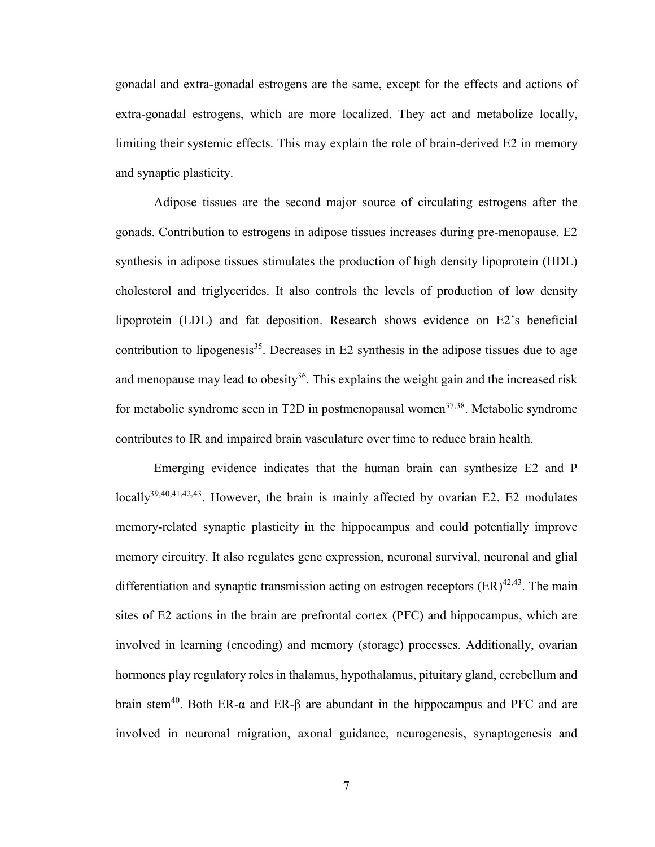gonadal and extra-gonadal estrogens are the same, except for the effects and actions of extra-gonadal estrogens, which are more localized. They act and metabolize locally, limiting their systemic effects. This may explain the role of brain-derived E2 in memory and synaptic plasticity.

Adipose tissues are the second major source of circulating estrogens after the gonads. Contribution to estrogens in adipose tissues increases during pre-menopause. E2 synthesis in adipose tissues stimulates the production of high density lipoprotein (HDL) cholesterol and triglycerides. It also controls the levels of production of low density lipoprotein (LDL) and fat deposition. Research shows evidence on E2's beneficial contribution to lipogenesis<sup>35</sup>. Decreases in E2 synthesis in the adipose tissues due to age and menopause may lead to obesity<sup>36</sup>. This explains the weight gain and the increased risk for metabolic syndrome seen in T2D in postmenopausal women<sup>37,38</sup>. Metabolic syndrome contributes to IR and impaired brain vasculature over time to reduce brain health.

Emerging evidence indicates that the human brain can synthesize E2 and P locally<sup>39,40,41,42,43</sup>. However, the brain is mainly affected by ovarian E2. E2 modulates memory-related synaptic plasticity in the hippocampus and could potentially improve memory circuitry. It also regulates gene expression, neuronal survival, neuronal and glial differentiation and synaptic transmission acting on estrogen receptors  $(ER)^{42,43}$ . The main sites of E2 actions in the brain are prefrontal cortex (PFC) and hippocampus, which are involved in learning (encoding) and memory (storage) processes. Additionally, ovarian hormones play regulatory roles in thalamus, hypothalamus, pituitary gland, cerebellum and brain stem<sup>40</sup>. Both ER-α and ER-β are abundant in the hippocampus and PFC and are involved in neuronal migration, axonal guidance, neurogenesis, synaptogenesis and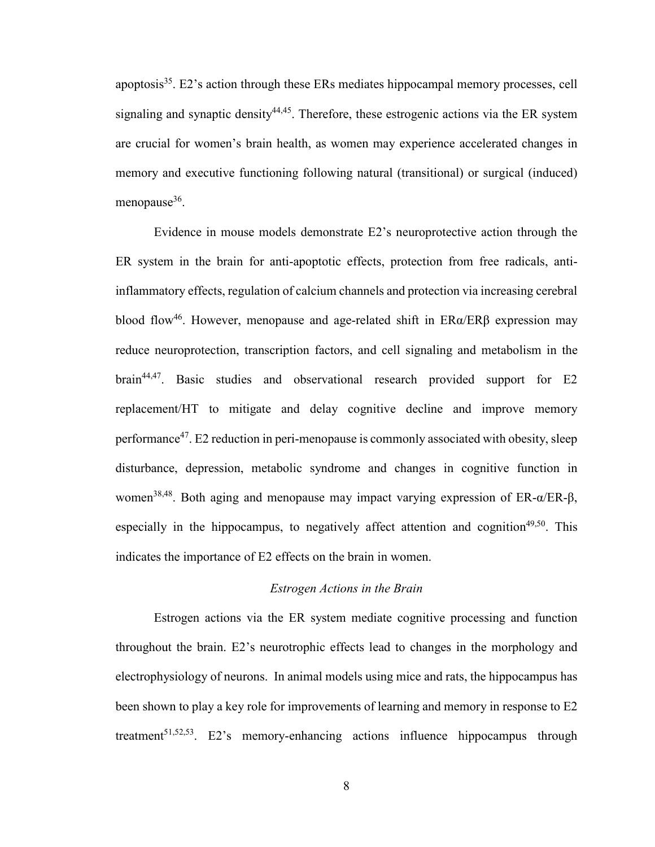apoptosis $35$ . E2's action through these ERs mediates hippocampal memory processes, cell signaling and synaptic density  $44,45$ . Therefore, these estrogenic actions via the ER system are crucial for women's brain health, as women may experience accelerated changes in memory and executive functioning following natural (transitional) or surgical (induced) menopause<sup>36</sup>.

Evidence in mouse models demonstrate E2's neuroprotective action through the ER system in the brain for anti-apoptotic effects, protection from free radicals, antiinflammatory effects, regulation of calcium channels and protection via increasing cerebral blood flow<sup>46</sup>. However, menopause and age-related shift in  $ER\alpha/ER\beta$  expression may reduce neuroprotection, transcription factors, and cell signaling and metabolism in the brain44,47. Basic studies and observational research provided support for E2 replacement/HT to mitigate and delay cognitive decline and improve memory performance<sup>47</sup>. E2 reduction in peri-menopause is commonly associated with obesity, sleep disturbance, depression, metabolic syndrome and changes in cognitive function in women<sup>38,48</sup>. Both aging and menopause may impact varying expression of  $ER-\alpha/ER-\beta$ , especially in the hippocampus, to negatively affect attention and cognition<sup>49,50</sup>. This indicates the importance of E2 effects on the brain in women.

# *Estrogen Actions in the Brain*

Estrogen actions via the ER system mediate cognitive processing and function throughout the brain. E2's neurotrophic effects lead to changes in the morphology and electrophysiology of neurons. In animal models using mice and rats, the hippocampus has been shown to play a key role for improvements of learning and memory in response to E2 treatment<sup>51,52,53</sup>. E2's memory-enhancing actions influence hippocampus through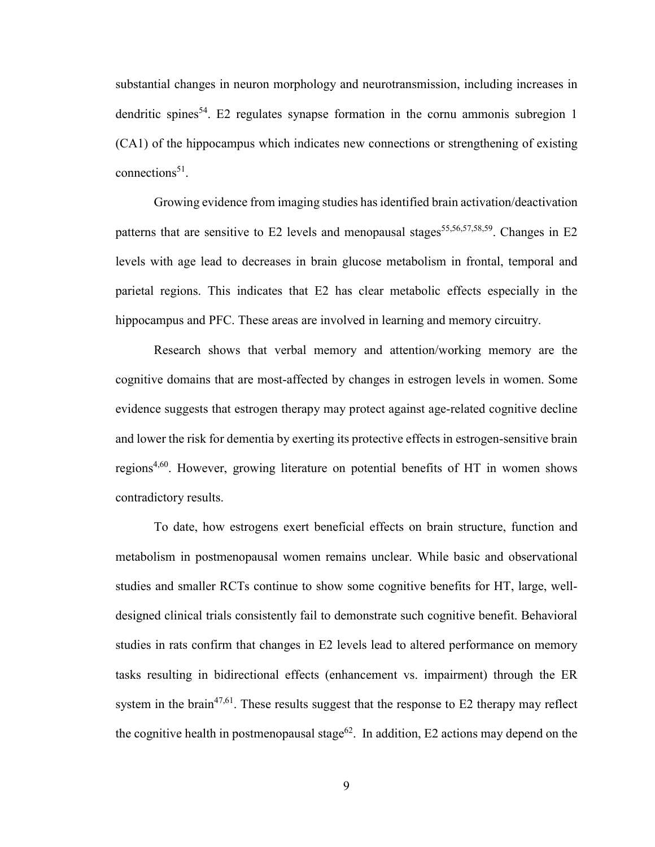substantial changes in neuron morphology and neurotransmission, including increases in dendritic spines<sup>54</sup>. E2 regulates synapse formation in the cornu ammonis subregion 1 (CA1) of the hippocampus which indicates new connections or strengthening of existing  $connections<sup>51</sup>$ .

Growing evidence from imaging studies has identified brain activation/deactivation patterns that are sensitive to E2 levels and menopausal stages<sup>55,56,57,58,59</sup>. Changes in E2 levels with age lead to decreases in brain glucose metabolism in frontal, temporal and parietal regions. This indicates that E2 has clear metabolic effects especially in the hippocampus and PFC. These areas are involved in learning and memory circuitry.

Research shows that verbal memory and attention/working memory are the cognitive domains that are most-affected by changes in estrogen levels in women. Some evidence suggests that estrogen therapy may protect against age-related cognitive decline and lower the risk for dementia by exerting its protective effects in estrogen-sensitive brain regions<sup>4,60</sup>. However, growing literature on potential benefits of HT in women shows contradictory results.

To date, how estrogens exert beneficial effects on brain structure, function and metabolism in postmenopausal women remains unclear. While basic and observational studies and smaller RCTs continue to show some cognitive benefits for HT, large, welldesigned clinical trials consistently fail to demonstrate such cognitive benefit. Behavioral studies in rats confirm that changes in E2 levels lead to altered performance on memory tasks resulting in bidirectional effects (enhancement vs. impairment) through the ER system in the brain<sup>47,61</sup>. These results suggest that the response to  $E2$  therapy may reflect the cognitive health in postmenopausal stage<sup>62</sup>. In addition, E2 actions may depend on the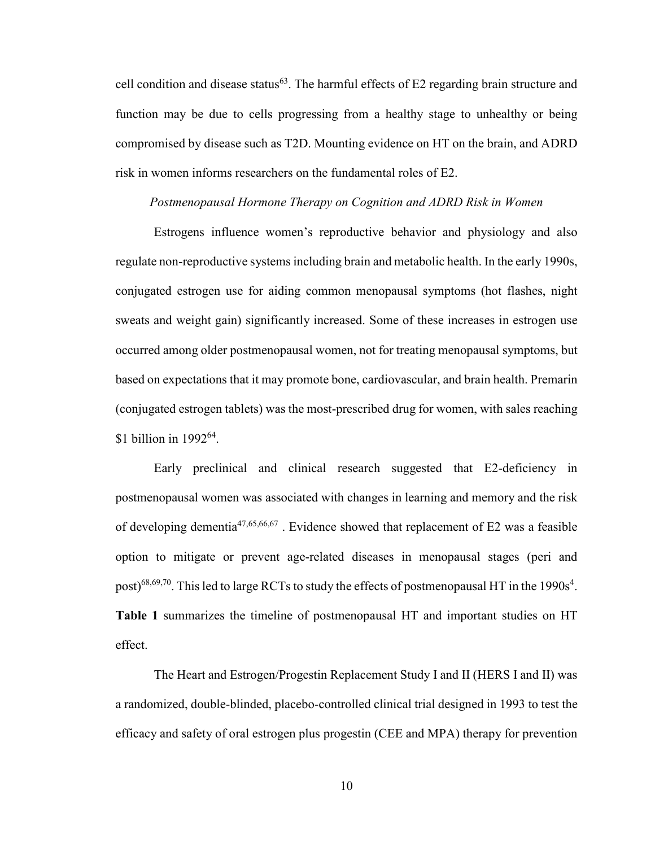cell condition and disease status<sup>63</sup>. The harmful effects of  $E2$  regarding brain structure and function may be due to cells progressing from a healthy stage to unhealthy or being compromised by disease such as T2D. Mounting evidence on HT on the brain, and ADRD risk in women informs researchers on the fundamental roles of E2.

# *Postmenopausal Hormone Therapy on Cognition and ADRD Risk in Women*

Estrogens influence women's reproductive behavior and physiology and also regulate non-reproductive systems including brain and metabolic health. In the early 1990s, conjugated estrogen use for aiding common menopausal symptoms (hot flashes, night sweats and weight gain) significantly increased. Some of these increases in estrogen use occurred among older postmenopausal women, not for treating menopausal symptoms, but based on expectations that it may promote bone, cardiovascular, and brain health. Premarin (conjugated estrogen tablets) was the most-prescribed drug for women, with sales reaching \$1 billion in 1992<sup>64</sup>.

Early preclinical and clinical research suggested that E2-deficiency in postmenopausal women was associated with changes in learning and memory and the risk of developing dementia47,65,66,67 . Evidence showed that replacement of E2 was a feasible option to mitigate or prevent age-related diseases in menopausal stages (peri and post)<sup>68,69,70</sup>. This led to large RCTs to study the effects of postmenopausal HT in the 1990s<sup>4</sup>. **Table 1** summarizes the timeline of postmenopausal HT and important studies on HT effect.

The Heart and Estrogen/Progestin Replacement Study I and II (HERS I and II) was a randomized, double-blinded, placebo-controlled clinical trial designed in 1993 to test the efficacy and safety of oral estrogen plus progestin (CEE and MPA) therapy for prevention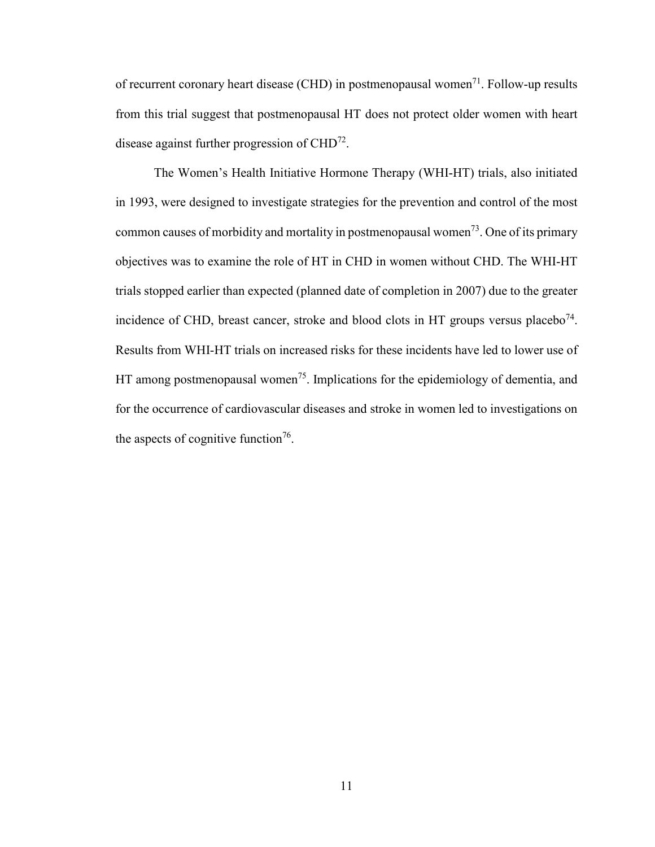of recurrent coronary heart disease (CHD) in postmenopausal women<sup>71</sup>. Follow-up results from this trial suggest that postmenopausal HT does not protect older women with heart disease against further progression of CHD<sup>72</sup>.

The Women's Health Initiative Hormone Therapy (WHI-HT) trials, also initiated in 1993, were designed to investigate strategies for the prevention and control of the most common causes of morbidity and mortality in postmenopausal women<sup>73</sup>. One of its primary objectives was to examine the role of HT in CHD in women without CHD. The WHI-HT trials stopped earlier than expected (planned date of completion in 2007) due to the greater incidence of CHD, breast cancer, stroke and blood clots in HT groups versus placebo<sup>74</sup>. Results from WHI-HT trials on increased risks for these incidents have led to lower use of HT among postmenopausal women<sup>75</sup>. Implications for the epidemiology of dementia, and for the occurrence of cardiovascular diseases and stroke in women led to investigations on the aspects of cognitive function<sup>76</sup>.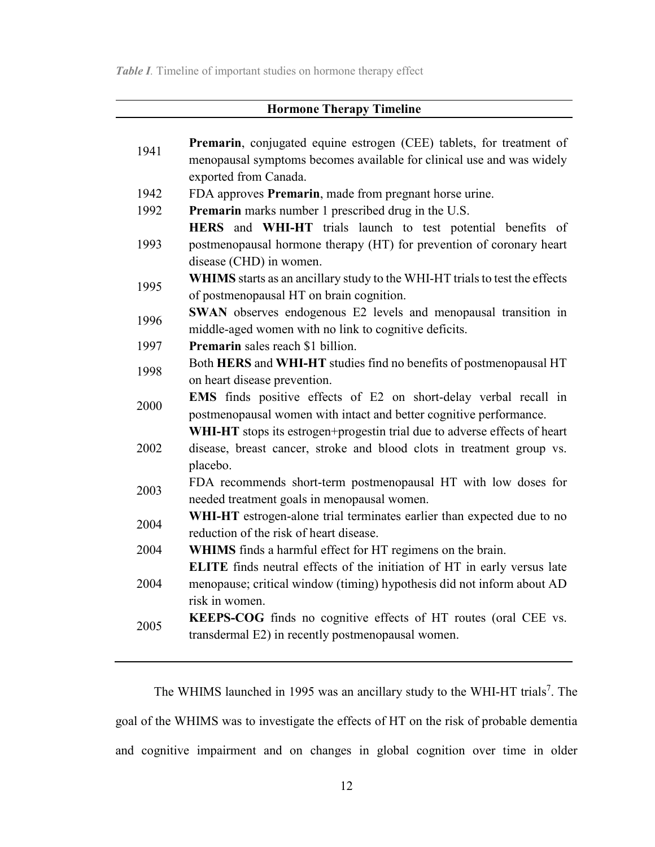**Table I**. Timeline of important studies on hormone therapy effect

| <b>Hormone Therapy Timeline</b> |                                                                                                                                                                      |  |  |
|---------------------------------|----------------------------------------------------------------------------------------------------------------------------------------------------------------------|--|--|
| 1941                            | <b>Premarin</b> , conjugated equine estrogen (CEE) tablets, for treatment of<br>menopausal symptoms becomes available for clinical use and was widely                |  |  |
| 1942                            | exported from Canada.<br>FDA approves Premarin, made from pregnant horse urine.                                                                                      |  |  |
| 1992                            | Premarin marks number 1 prescribed drug in the U.S.                                                                                                                  |  |  |
| 1993                            | HERS and WHI-HT trials launch to test potential benefits of<br>postmenopausal hormone therapy (HT) for prevention of coronary heart<br>disease (CHD) in women.       |  |  |
| 1995                            | WHIMS starts as an ancillary study to the WHI-HT trials to test the effects<br>of postmenopausal HT on brain cognition.                                              |  |  |
| 1996                            | SWAN observes endogenous E2 levels and menopausal transition in<br>middle-aged women with no link to cognitive deficits.                                             |  |  |
| 1997                            | <b>Premarin</b> sales reach \$1 billion.                                                                                                                             |  |  |
| 1998                            | Both HERS and WHI-HT studies find no benefits of postmenopausal HT<br>on heart disease prevention.                                                                   |  |  |
| 2000                            | EMS finds positive effects of E2 on short-delay verbal recall in<br>postmenopausal women with intact and better cognitive performance.                               |  |  |
| 2002                            | WHI-HT stops its estrogen+progestin trial due to adverse effects of heart<br>disease, breast cancer, stroke and blood clots in treatment group vs.<br>placebo.       |  |  |
| 2003                            | FDA recommends short-term postmenopausal HT with low doses for<br>needed treatment goals in menopausal women.                                                        |  |  |
| 2004                            | WHI-HT estrogen-alone trial terminates earlier than expected due to no<br>reduction of the risk of heart disease.                                                    |  |  |
| 2004                            | WHIMS finds a harmful effect for HT regimens on the brain.                                                                                                           |  |  |
| 2004                            | ELITE finds neutral effects of the initiation of HT in early versus late<br>menopause; critical window (timing) hypothesis did not inform about AD<br>risk in women. |  |  |
| 2005                            | KEEPS-COG finds no cognitive effects of HT routes (oral CEE vs.<br>transdermal E2) in recently postmenopausal women.                                                 |  |  |

The WHIMS launched in 1995 was an ancillary study to the WHI-HT trials<sup>7</sup>. The goal of the WHIMS was to investigate the effects of HT on the risk of probable dementia and cognitive impairment and on changes in global cognition over time in older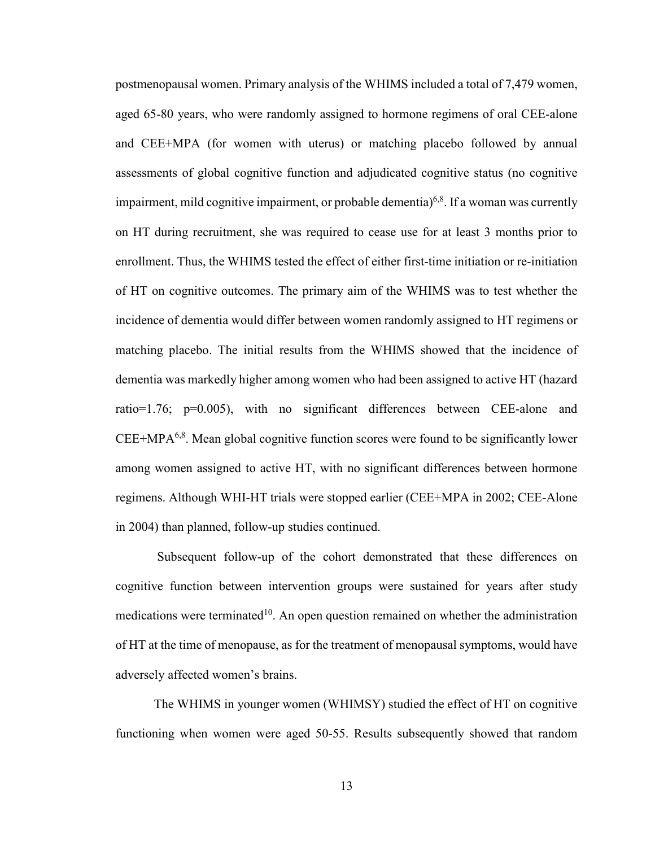postmenopausal women. Primary analysis of the WHIMS included a total of 7,479 women, aged 65-80 years, who were randomly assigned to hormone regimens of oral CEE-alone and CEE+MPA (for women with uterus) or matching placebo followed by annual assessments of global cognitive function and adjudicated cognitive status (no cognitive impairment, mild cognitive impairment, or probable dementia)<sup>6,8</sup>. If a woman was currently on HT during recruitment, she was required to cease use for at least 3 months prior to enrollment. Thus, the WHIMS tested the effect of either first-time initiation or re-initiation of HT on cognitive outcomes. The primary aim of the WHIMS was to test whether the incidence of dementia would differ between women randomly assigned to HT regimens or matching placebo. The initial results from the WHIMS showed that the incidence of dementia was markedly higher among women who had been assigned to active HT (hazard ratio=1.76; p=0.005), with no significant differences between CEE-alone and CEE+MPA<sup>6,8</sup>. Mean global cognitive function scores were found to be significantly lower among women assigned to active HT, with no significant differences between hormone regimens. Although WHI-HT trials were stopped earlier (CEE+MPA in 2002; CEE-Alone in 2004) than planned, follow-up studies continued.

 Subsequent follow-up of the cohort demonstrated that these differences on cognitive function between intervention groups were sustained for years after study medications were terminated<sup>10</sup>. An open question remained on whether the administration of HT at the time of menopause, as for the treatment of menopausal symptoms, would have adversely affected women's brains.

The WHIMS in younger women (WHIMSY) studied the effect of HT on cognitive functioning when women were aged 50-55. Results subsequently showed that random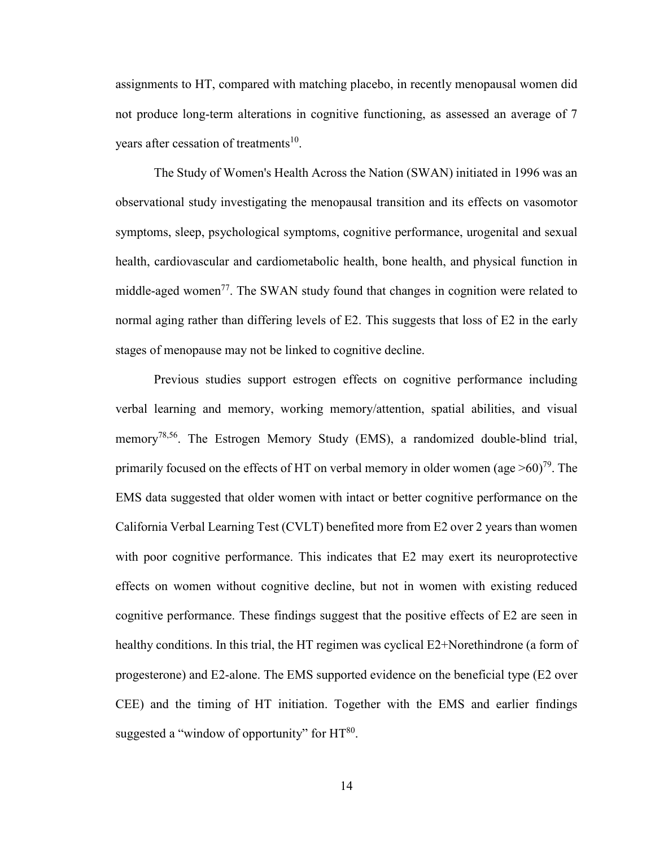assignments to HT, compared with matching placebo, in recently menopausal women did not produce long-term alterations in cognitive functioning, as assessed an average of 7 years after cessation of treatments<sup>10</sup>.

The Study of Women's Health Across the Nation (SWAN) initiated in 1996 was an observational study investigating the menopausal transition and its effects on vasomotor symptoms, sleep, psychological symptoms, cognitive performance, urogenital and sexual health, cardiovascular and cardiometabolic health, bone health, and physical function in middle-aged women<sup>77</sup>. The SWAN study found that changes in cognition were related to normal aging rather than differing levels of E2. This suggests that loss of E2 in the early stages of menopause may not be linked to cognitive decline.

Previous studies support estrogen effects on cognitive performance including verbal learning and memory, working memory/attention, spatial abilities, and visual memory<sup>78,56</sup>. The Estrogen Memory Study (EMS), a randomized double-blind trial, primarily focused on the effects of HT on verbal memory in older women (age  $>60$ )<sup>79</sup>. The EMS data suggested that older women with intact or better cognitive performance on the California Verbal Learning Test (CVLT) benefited more from E2 over 2 years than women with poor cognitive performance. This indicates that E2 may exert its neuroprotective effects on women without cognitive decline, but not in women with existing reduced cognitive performance. These findings suggest that the positive effects of E2 are seen in healthy conditions. In this trial, the HT regimen was cyclical E2+Norethindrone (a form of progesterone) and E2-alone. The EMS supported evidence on the beneficial type (E2 over CEE) and the timing of HT initiation. Together with the EMS and earlier findings suggested a "window of opportunity" for  $HT^{80}$ .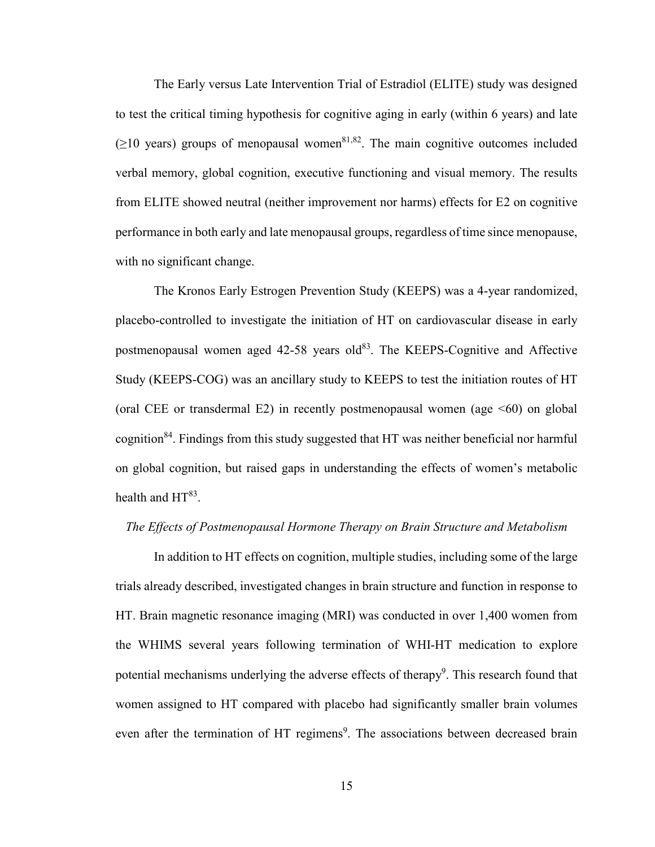The Early versus Late Intervention Trial of Estradiol (ELITE) study was designed to test the critical timing hypothesis for cognitive aging in early (within 6 years) and late  $(\geq 10$  years) groups of menopausal women<sup>81,82</sup>. The main cognitive outcomes included verbal memory, global cognition, executive functioning and visual memory. The results from ELITE showed neutral (neither improvement nor harms) effects for E2 on cognitive performance in both early and late menopausal groups, regardless of time since menopause, with no significant change.

The Kronos Early Estrogen Prevention Study (KEEPS) was a 4-year randomized, placebo-controlled to investigate the initiation of HT on cardiovascular disease in early postmenopausal women aged 42-58 years old<sup>83</sup>. The KEEPS-Cognitive and Affective Study (KEEPS-COG) was an ancillary study to KEEPS to test the initiation routes of HT (oral CEE or transdermal E2) in recently postmenopausal women (age  $\leq 60$ ) on global cognition<sup>84</sup>. Findings from this study suggested that HT was neither beneficial nor harmful on global cognition, but raised gaps in understanding the effects of women's metabolic health and  $HT^{83}$ .

## *The Effects of Postmenopausal Hormone Therapy on Brain Structure and Metabolism*

In addition to HT effects on cognition, multiple studies, including some of the large trials already described, investigated changes in brain structure and function in response to HT. Brain magnetic resonance imaging (MRI) was conducted in over 1,400 women from the WHIMS several years following termination of WHI-HT medication to explore potential mechanisms underlying the adverse effects of therapy<sup>9</sup>. This research found that women assigned to HT compared with placebo had significantly smaller brain volumes even after the termination of HT regimens<sup>9</sup>. The associations between decreased brain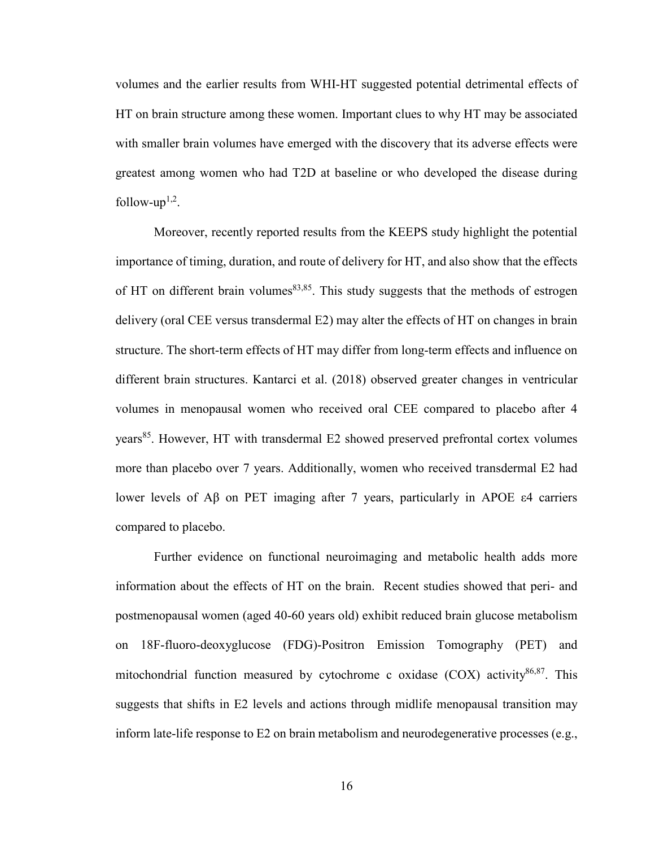volumes and the earlier results from WHI-HT suggested potential detrimental effects of HT on brain structure among these women. Important clues to why HT may be associated with smaller brain volumes have emerged with the discovery that its adverse effects were greatest among women who had T2D at baseline or who developed the disease during follow-up<sup> $1,2$ </sup>.

Moreover, recently reported results from the KEEPS study highlight the potential importance of timing, duration, and route of delivery for HT, and also show that the effects of HT on different brain volumes  $83,85$ . This study suggests that the methods of estrogen delivery (oral CEE versus transdermal E2) may alter the effects of HT on changes in brain structure. The short-term effects of HT may differ from long-term effects and influence on different brain structures. Kantarci et al. (2018) observed greater changes in ventricular volumes in menopausal women who received oral CEE compared to placebo after 4 years<sup>85</sup>. However, HT with transdermal E2 showed preserved prefrontal cortex volumes more than placebo over 7 years. Additionally, women who received transdermal E2 had lower levels of Aβ on PET imaging after 7 years, particularly in APOE ε4 carriers compared to placebo.

Further evidence on functional neuroimaging and metabolic health adds more information about the effects of HT on the brain. Recent studies showed that peri- and postmenopausal women (aged 40-60 years old) exhibit reduced brain glucose metabolism on 18F-fluoro-deoxyglucose (FDG)-Positron Emission Tomography (PET) and mitochondrial function measured by cytochrome c oxidase  $(COX)$  activity<sup>86,87</sup>. This suggests that shifts in E2 levels and actions through midlife menopausal transition may inform late-life response to E2 on brain metabolism and neurodegenerative processes (e.g.,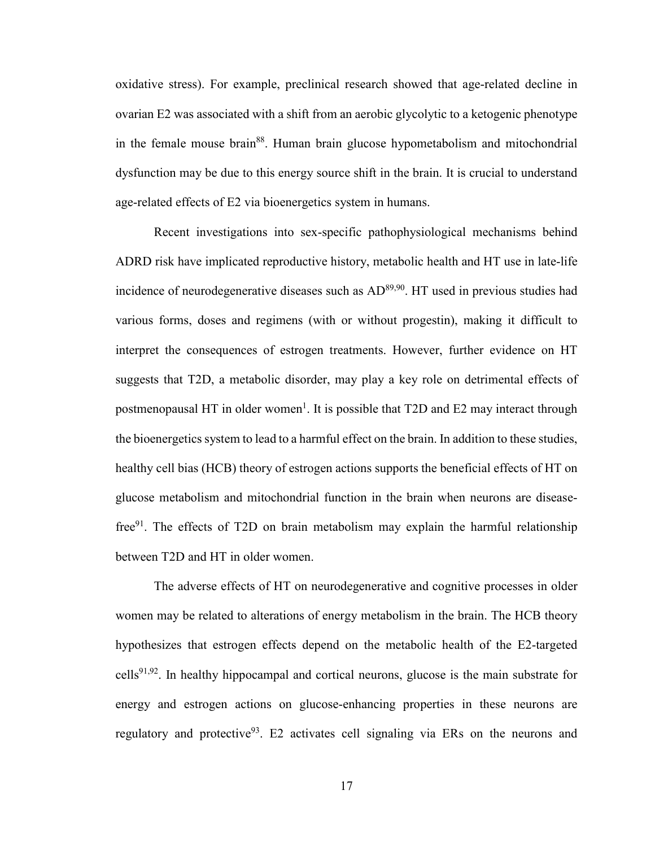oxidative stress). For example, preclinical research showed that age-related decline in ovarian E2 was associated with a shift from an aerobic glycolytic to a ketogenic phenotype in the female mouse brain<sup>88</sup>. Human brain glucose hypometabolism and mitochondrial dysfunction may be due to this energy source shift in the brain. It is crucial to understand age-related effects of E2 via bioenergetics system in humans.

Recent investigations into sex-specific pathophysiological mechanisms behind ADRD risk have implicated reproductive history, metabolic health and HT use in late-life incidence of neurodegenerative diseases such as AD<sup>89,90</sup>. HT used in previous studies had various forms, doses and regimens (with or without progestin), making it difficult to interpret the consequences of estrogen treatments. However, further evidence on HT suggests that T2D, a metabolic disorder, may play a key role on detrimental effects of postmenopausal HT in older women<sup>1</sup>. It is possible that T2D and E2 may interact through the bioenergetics system to lead to a harmful effect on the brain. In addition to these studies, healthy cell bias (HCB) theory of estrogen actions supports the beneficial effects of HT on glucose metabolism and mitochondrial function in the brain when neurons are diseasefree $91$ . The effects of T2D on brain metabolism may explain the harmful relationship between T2D and HT in older women.

The adverse effects of HT on neurodegenerative and cognitive processes in older women may be related to alterations of energy metabolism in the brain. The HCB theory hypothesizes that estrogen effects depend on the metabolic health of the E2-targeted cells<sup>91,92</sup>. In healthy hippocampal and cortical neurons, glucose is the main substrate for energy and estrogen actions on glucose-enhancing properties in these neurons are regulatory and protective<sup>93</sup>. E2 activates cell signaling via ERs on the neurons and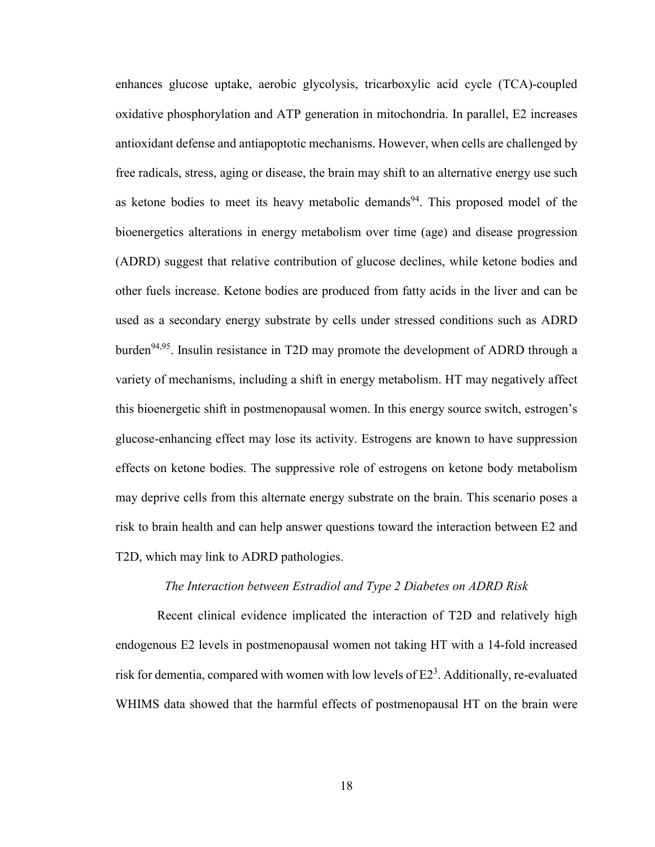enhances glucose uptake, aerobic glycolysis, tricarboxylic acid cycle (TCA)-coupled oxidative phosphorylation and ATP generation in mitochondria. In parallel, E2 increases antioxidant defense and antiapoptotic mechanisms. However, when cells are challenged by free radicals, stress, aging or disease, the brain may shift to an alternative energy use such as ketone bodies to meet its heavy metabolic demands<sup>94</sup>. This proposed model of the bioenergetics alterations in energy metabolism over time (age) and disease progression (ADRD) suggest that relative contribution of glucose declines, while ketone bodies and other fuels increase. Ketone bodies are produced from fatty acids in the liver and can be used as a secondary energy substrate by cells under stressed conditions such as ADRD burden<sup>94,95</sup>. Insulin resistance in T2D may promote the development of ADRD through a variety of mechanisms, including a shift in energy metabolism. HT may negatively affect this bioenergetic shift in postmenopausal women. In this energy source switch, estrogen's glucose-enhancing effect may lose its activity. Estrogens are known to have suppression effects on ketone bodies. The suppressive role of estrogens on ketone body metabolism may deprive cells from this alternate energy substrate on the brain. This scenario poses a risk to brain health and can help answer questions toward the interaction between E2 and T2D, which may link to ADRD pathologies.

#### *The Interaction between Estradiol and Type 2 Diabetes on ADRD Risk*

 Recent clinical evidence implicated the interaction of T2D and relatively high endogenous E2 levels in postmenopausal women not taking HT with a 14-fold increased risk for dementia, compared with women with low levels of  $E2<sup>3</sup>$ . Additionally, re-evaluated WHIMS data showed that the harmful effects of postmenopausal HT on the brain were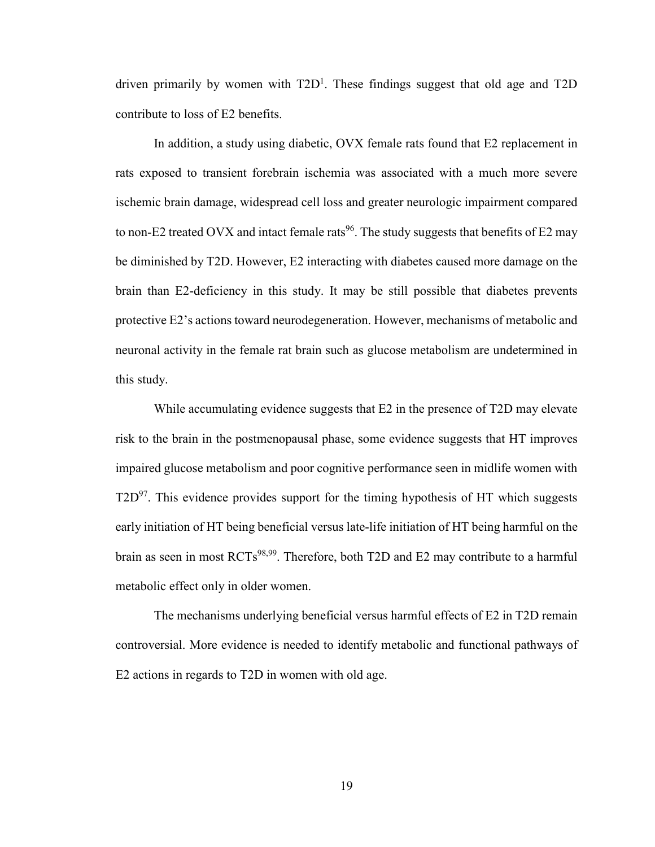driven primarily by women with  $T2D<sup>1</sup>$ . These findings suggest that old age and  $T2D$ contribute to loss of E2 benefits.

In addition, a study using diabetic, OVX female rats found that E2 replacement in rats exposed to transient forebrain ischemia was associated with a much more severe ischemic brain damage, widespread cell loss and greater neurologic impairment compared to non-E2 treated OVX and intact female rats<sup>96</sup>. The study suggests that benefits of E2 may be diminished by T2D. However, E2 interacting with diabetes caused more damage on the brain than E2-deficiency in this study. It may be still possible that diabetes prevents protective E2's actions toward neurodegeneration. However, mechanisms of metabolic and neuronal activity in the female rat brain such as glucose metabolism are undetermined in this study.

While accumulating evidence suggests that E2 in the presence of T2D may elevate risk to the brain in the postmenopausal phase, some evidence suggests that HT improves impaired glucose metabolism and poor cognitive performance seen in midlife women with  $T2D^{97}$ . This evidence provides support for the timing hypothesis of HT which suggests early initiation of HT being beneficial versus late-life initiation of HT being harmful on the brain as seen in most RCTs<sup>98,99</sup>. Therefore, both T2D and E2 may contribute to a harmful metabolic effect only in older women.

The mechanisms underlying beneficial versus harmful effects of E2 in T2D remain controversial. More evidence is needed to identify metabolic and functional pathways of E2 actions in regards to T2D in women with old age.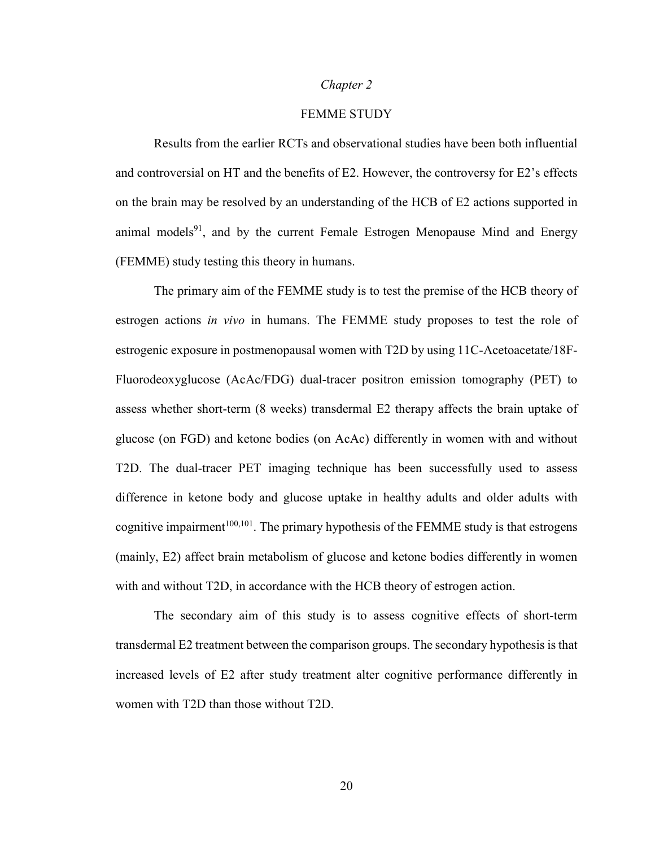# *Chapter 2*

# FEMME STUDY

Results from the earlier RCTs and observational studies have been both influential and controversial on HT and the benefits of E2. However, the controversy for E2's effects on the brain may be resolved by an understanding of the HCB of E2 actions supported in animal models<sup>91</sup>, and by the current Female Estrogen Menopause Mind and Energy (FEMME) study testing this theory in humans.

The primary aim of the FEMME study is to test the premise of the HCB theory of estrogen actions *in vivo* in humans. The FEMME study proposes to test the role of estrogenic exposure in postmenopausal women with T2D by using 11C-Acetoacetate/18F-Fluorodeoxyglucose (AcAc/FDG) dual-tracer positron emission tomography (PET) to assess whether short-term (8 weeks) transdermal E2 therapy affects the brain uptake of glucose (on FGD) and ketone bodies (on AcAc) differently in women with and without T2D. The dual-tracer PET imaging technique has been successfully used to assess difference in ketone body and glucose uptake in healthy adults and older adults with cognitive impairment<sup>100,101</sup>. The primary hypothesis of the FEMME study is that estrogens (mainly, E2) affect brain metabolism of glucose and ketone bodies differently in women with and without T2D, in accordance with the HCB theory of estrogen action.

The secondary aim of this study is to assess cognitive effects of short-term transdermal E2 treatment between the comparison groups. The secondary hypothesis is that increased levels of E2 after study treatment alter cognitive performance differently in women with T2D than those without T2D.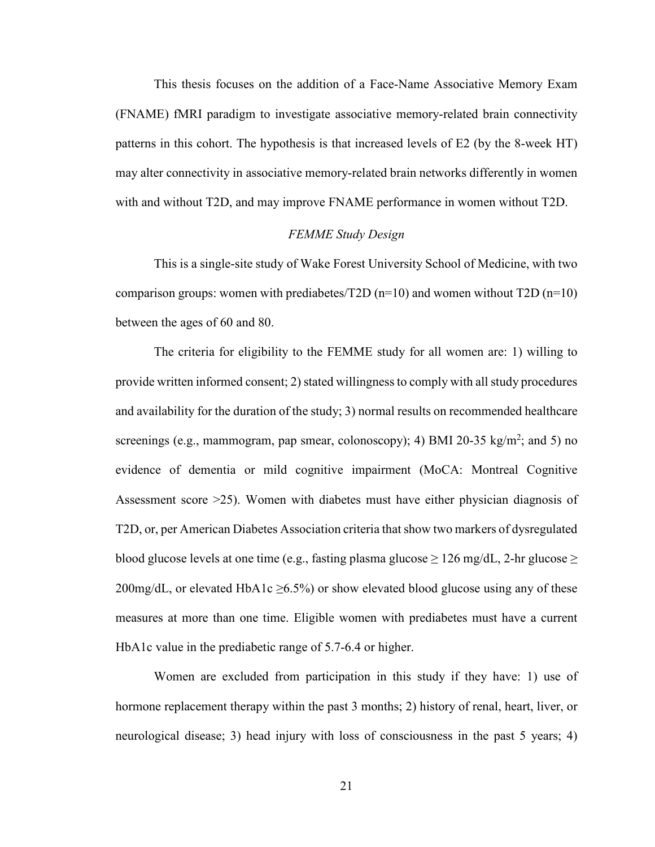This thesis focuses on the addition of a Face-Name Associative Memory Exam (FNAME) fMRI paradigm to investigate associative memory-related brain connectivity patterns in this cohort. The hypothesis is that increased levels of E2 (by the 8-week HT) may alter connectivity in associative memory-related brain networks differently in women with and without T2D, and may improve FNAME performance in women without T2D.

#### *FEMME Study Design*

This is a single-site study of Wake Forest University School of Medicine, with two comparison groups: women with prediabetes/T2D (n=10) and women without  $T2D$  (n=10) between the ages of 60 and 80.

The criteria for eligibility to the FEMME study for all women are: 1) willing to provide written informed consent; 2) stated willingness to comply with all study procedures and availability for the duration of the study; 3) normal results on recommended healthcare screenings (e.g., mammogram, pap smear, colonoscopy); 4) BMI 20-35 kg/m<sup>2</sup>; and 5) no evidence of dementia or mild cognitive impairment (MoCA: Montreal Cognitive Assessment score >25). Women with diabetes must have either physician diagnosis of T2D, or, per American Diabetes Association criteria that show two markers of dysregulated blood glucose levels at one time (e.g., fasting plasma glucose  $\geq 126$  mg/dL, 2-hr glucose  $\geq$ 200mg/dL, or elevated HbA1c  $\geq$ 6.5%) or show elevated blood glucose using any of these measures at more than one time. Eligible women with prediabetes must have a current HbA1c value in the prediabetic range of 5.7-6.4 or higher.

Women are excluded from participation in this study if they have: 1) use of hormone replacement therapy within the past 3 months; 2) history of renal, heart, liver, or neurological disease; 3) head injury with loss of consciousness in the past 5 years; 4)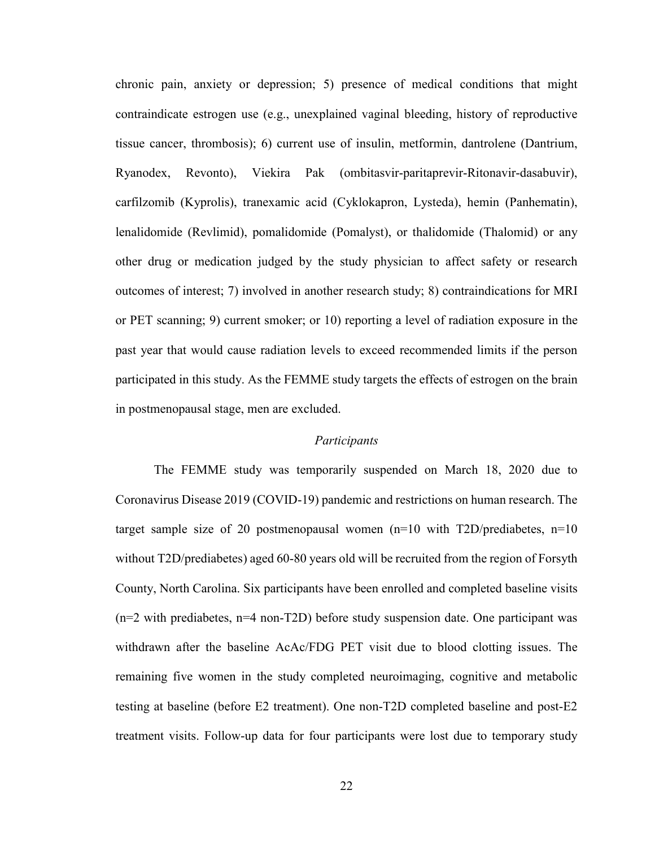chronic pain, anxiety or depression; 5) presence of medical conditions that might contraindicate estrogen use (e.g., unexplained vaginal bleeding, history of reproductive tissue cancer, thrombosis); 6) current use of insulin, metformin, dantrolene (Dantrium, Ryanodex, Revonto), Viekira Pak (ombitasvir-paritaprevir-Ritonavir-dasabuvir), carfilzomib (Kyprolis), tranexamic acid (Cyklokapron, Lysteda), hemin (Panhematin), lenalidomide (Revlimid), pomalidomide (Pomalyst), or thalidomide (Thalomid) or any other drug or medication judged by the study physician to affect safety or research outcomes of interest; 7) involved in another research study; 8) contraindications for MRI or PET scanning; 9) current smoker; or 10) reporting a level of radiation exposure in the past year that would cause radiation levels to exceed recommended limits if the person participated in this study. As the FEMME study targets the effects of estrogen on the brain in postmenopausal stage, men are excluded.

# *Participants*

The FEMME study was temporarily suspended on March 18, 2020 due to Coronavirus Disease 2019 (COVID-19) pandemic and restrictions on human research. The target sample size of 20 postmenopausal women  $(n=10 \text{ with } T2D/p_1$  rediabetes,  $n=10$ without T2D/prediabetes) aged 60-80 years old will be recruited from the region of Forsyth County, North Carolina. Six participants have been enrolled and completed baseline visits (n=2 with prediabetes, n=4 non-T2D) before study suspension date. One participant was withdrawn after the baseline AcAc/FDG PET visit due to blood clotting issues. The remaining five women in the study completed neuroimaging, cognitive and metabolic testing at baseline (before E2 treatment). One non-T2D completed baseline and post-E2 treatment visits. Follow-up data for four participants were lost due to temporary study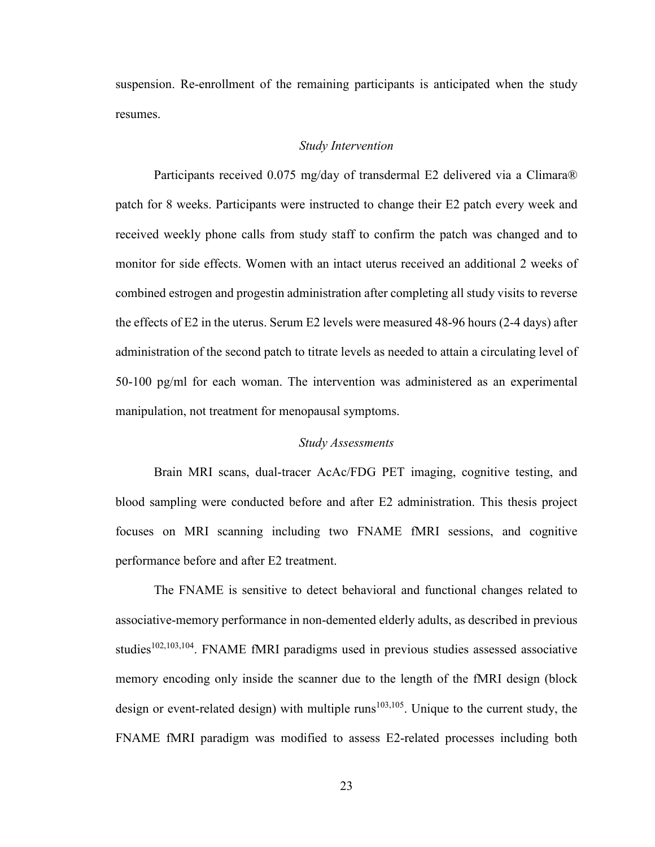suspension. Re-enrollment of the remaining participants is anticipated when the study resumes.

#### *Study Intervention*

Participants received 0.075 mg/day of transdermal E2 delivered via a Climara® patch for 8 weeks. Participants were instructed to change their E2 patch every week and received weekly phone calls from study staff to confirm the patch was changed and to monitor for side effects. Women with an intact uterus received an additional 2 weeks of combined estrogen and progestin administration after completing all study visits to reverse the effects of E2 in the uterus. Serum E2 levels were measured 48-96 hours (2-4 days) after administration of the second patch to titrate levels as needed to attain a circulating level of 50-100 pg/ml for each woman. The intervention was administered as an experimental manipulation, not treatment for menopausal symptoms.

#### *Study Assessments*

Brain MRI scans, dual-tracer AcAc/FDG PET imaging, cognitive testing, and blood sampling were conducted before and after E2 administration. This thesis project focuses on MRI scanning including two FNAME fMRI sessions, and cognitive performance before and after E2 treatment.

The FNAME is sensitive to detect behavioral and functional changes related to associative-memory performance in non-demented elderly adults, as described in previous studies<sup>102,103,104</sup>. FNAME fMRI paradigms used in previous studies assessed associative memory encoding only inside the scanner due to the length of the fMRI design (block design or event-related design) with multiple runs<sup>103,105</sup>. Unique to the current study, the FNAME fMRI paradigm was modified to assess E2-related processes including both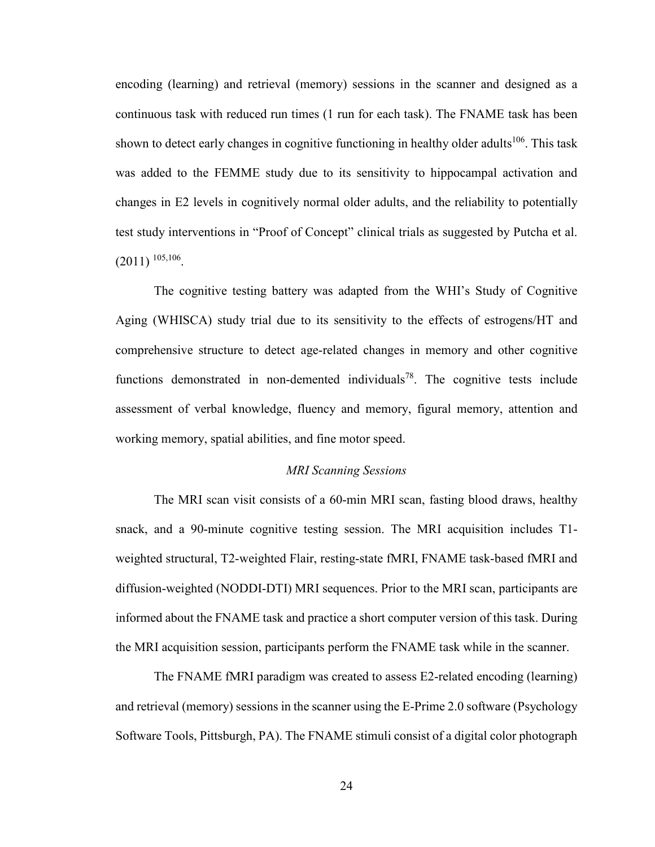encoding (learning) and retrieval (memory) sessions in the scanner and designed as a continuous task with reduced run times (1 run for each task). The FNAME task has been shown to detect early changes in cognitive functioning in healthy older adults<sup>106</sup>. This task was added to the FEMME study due to its sensitivity to hippocampal activation and changes in E2 levels in cognitively normal older adults, and the reliability to potentially test study interventions in "Proof of Concept" clinical trials as suggested by Putcha et al.  $(2011)$  <sup>105,106</sup>.

The cognitive testing battery was adapted from the WHI's Study of Cognitive Aging (WHISCA) study trial due to its sensitivity to the effects of estrogens/HT and comprehensive structure to detect age-related changes in memory and other cognitive functions demonstrated in non-demented individuals<sup>78</sup>. The cognitive tests include assessment of verbal knowledge, fluency and memory, figural memory, attention and working memory, spatial abilities, and fine motor speed.

# *MRI Scanning Sessions*

The MRI scan visit consists of a 60-min MRI scan, fasting blood draws, healthy snack, and a 90-minute cognitive testing session. The MRI acquisition includes T1 weighted structural, T2-weighted Flair, resting-state fMRI, FNAME task-based fMRI and diffusion-weighted (NODDI-DTI) MRI sequences. Prior to the MRI scan, participants are informed about the FNAME task and practice a short computer version of this task. During the MRI acquisition session, participants perform the FNAME task while in the scanner.

The FNAME fMRI paradigm was created to assess E2-related encoding (learning) and retrieval (memory) sessions in the scanner using the E-Prime 2.0 software (Psychology Software Tools, Pittsburgh, PA). The FNAME stimuli consist of a digital color photograph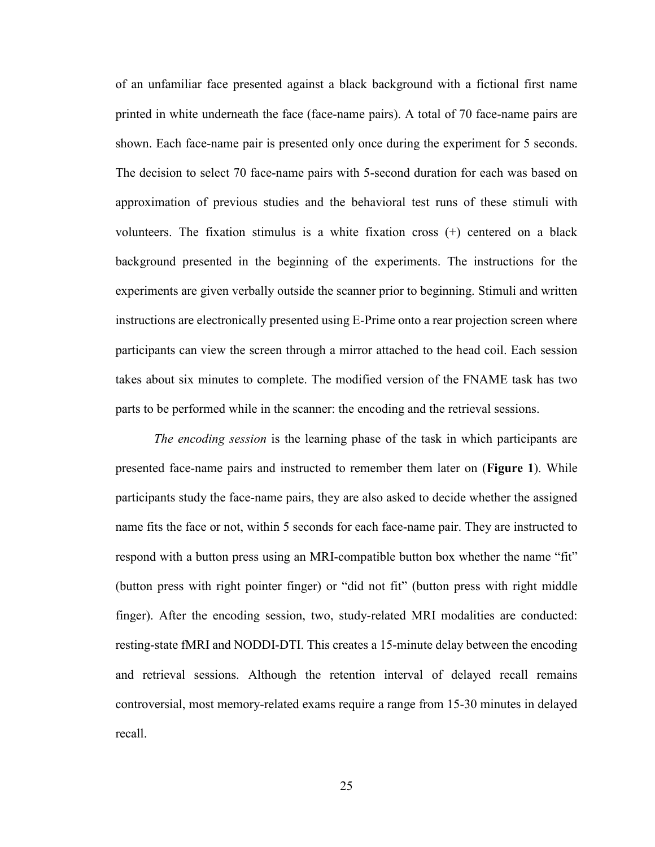of an unfamiliar face presented against a black background with a fictional first name printed in white underneath the face (face-name pairs). A total of 70 face-name pairs are shown. Each face-name pair is presented only once during the experiment for 5 seconds. The decision to select 70 face-name pairs with 5-second duration for each was based on approximation of previous studies and the behavioral test runs of these stimuli with volunteers. The fixation stimulus is a white fixation cross (+) centered on a black background presented in the beginning of the experiments. The instructions for the experiments are given verbally outside the scanner prior to beginning. Stimuli and written instructions are electronically presented using E-Prime onto a rear projection screen where participants can view the screen through a mirror attached to the head coil. Each session takes about six minutes to complete. The modified version of the FNAME task has two parts to be performed while in the scanner: the encoding and the retrieval sessions.

*The encoding session* is the learning phase of the task in which participants are presented face-name pairs and instructed to remember them later on (**Figure 1**). While participants study the face-name pairs, they are also asked to decide whether the assigned name fits the face or not, within 5 seconds for each face-name pair. They are instructed to respond with a button press using an MRI-compatible button box whether the name "fit" (button press with right pointer finger) or "did not fit" (button press with right middle finger). After the encoding session, two, study-related MRI modalities are conducted: resting-state fMRI and NODDI-DTI. This creates a 15-minute delay between the encoding and retrieval sessions. Although the retention interval of delayed recall remains controversial, most memory-related exams require a range from 15-30 minutes in delayed recall.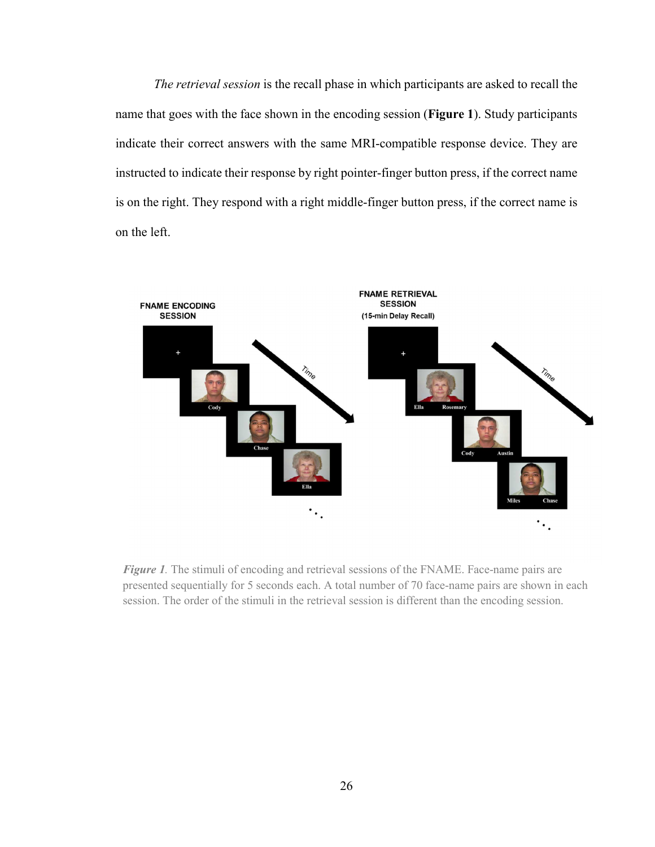*The retrieval session* is the recall phase in which participants are asked to recall the name that goes with the face shown in the encoding session (**Figure 1**). Study participants indicate their correct answers with the same MRI-compatible response device. They are instructed to indicate their response by right pointer-finger button press, if the correct name is on the right. They respond with a right middle-finger button press, if the correct name is on the left.



*Figure 1.* The stimuli of encoding and retrieval sessions of the FNAME. Face-name pairs are presented sequentially for 5 seconds each. A total number of 70 face-name pairs are shown in each session. The order of the stimuli in the retrieval session is different than the encoding session.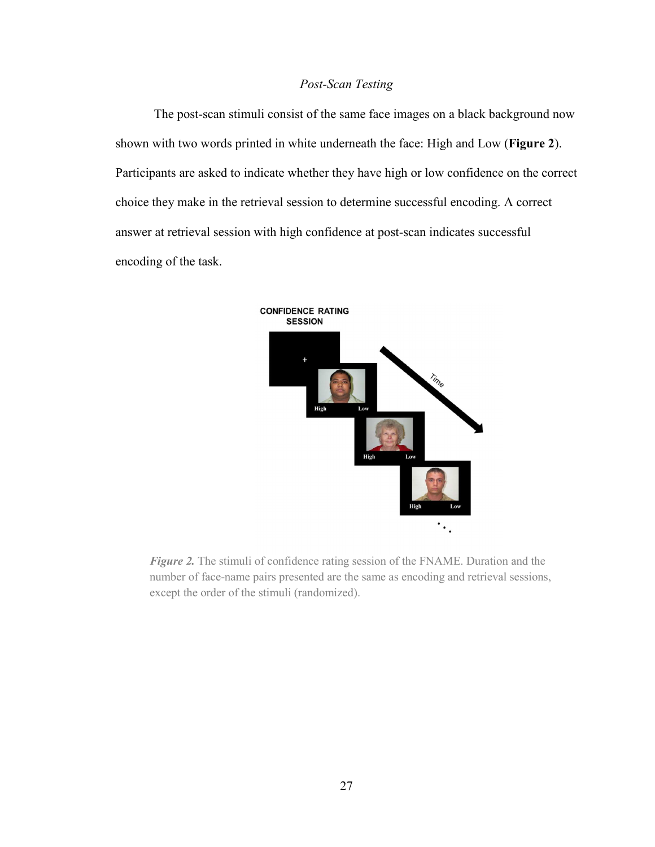# *Post-Scan Testing*

The post-scan stimuli consist of the same face images on a black background now shown with two words printed in white underneath the face: High and Low (**Figure 2**). Participants are asked to indicate whether they have high or low confidence on the correct choice they make in the retrieval session to determine successful encoding. A correct answer at retrieval session with high confidence at post-scan indicates successful encoding of the task.



*Figure 2.* The stimuli of confidence rating session of the FNAME. Duration and the number of face-name pairs presented are the same as encoding and retrieval sessions, except the order of the stimuli (randomized).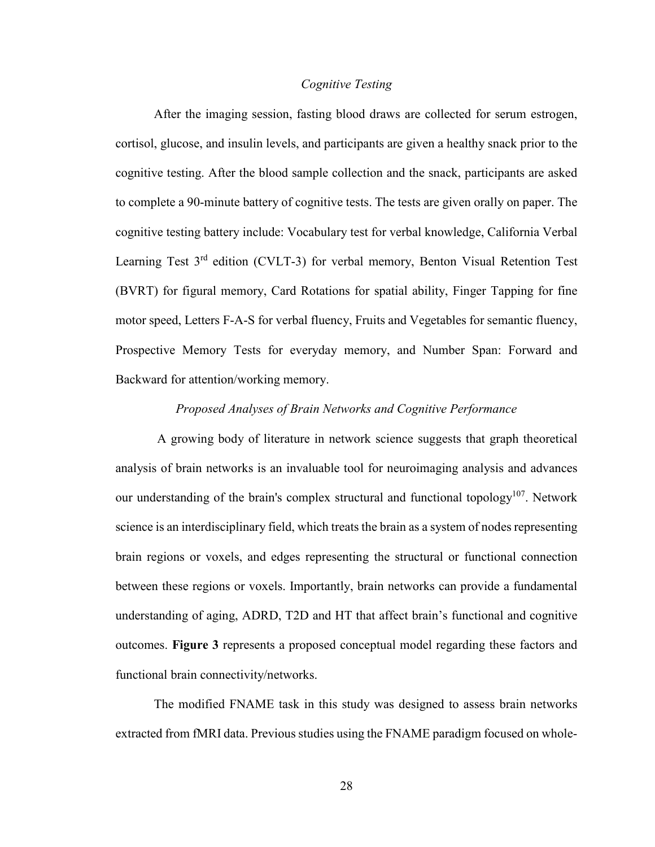# *Cognitive Testing*

After the imaging session, fasting blood draws are collected for serum estrogen, cortisol, glucose, and insulin levels, and participants are given a healthy snack prior to the cognitive testing. After the blood sample collection and the snack, participants are asked to complete a 90-minute battery of cognitive tests. The tests are given orally on paper. The cognitive testing battery include: Vocabulary test for verbal knowledge, California Verbal Learning Test 3<sup>rd</sup> edition (CVLT-3) for verbal memory, Benton Visual Retention Test (BVRT) for figural memory, Card Rotations for spatial ability, Finger Tapping for fine motor speed, Letters F-A-S for verbal fluency, Fruits and Vegetables for semantic fluency, Prospective Memory Tests for everyday memory, and Number Span: Forward and Backward for attention/working memory.

#### *Proposed Analyses of Brain Networks and Cognitive Performance*

 A growing body of literature in network science suggests that graph theoretical analysis of brain networks is an invaluable tool for neuroimaging analysis and advances our understanding of the brain's complex structural and functional topology<sup>107</sup>. Network science is an interdisciplinary field, which treats the brain as a system of nodes representing brain regions or voxels, and edges representing the structural or functional connection between these regions or voxels. Importantly, brain networks can provide a fundamental understanding of aging, ADRD, T2D and HT that affect brain's functional and cognitive outcomes. **Figure 3** represents a proposed conceptual model regarding these factors and functional brain connectivity/networks.

The modified FNAME task in this study was designed to assess brain networks extracted from fMRI data. Previous studies using the FNAME paradigm focused on whole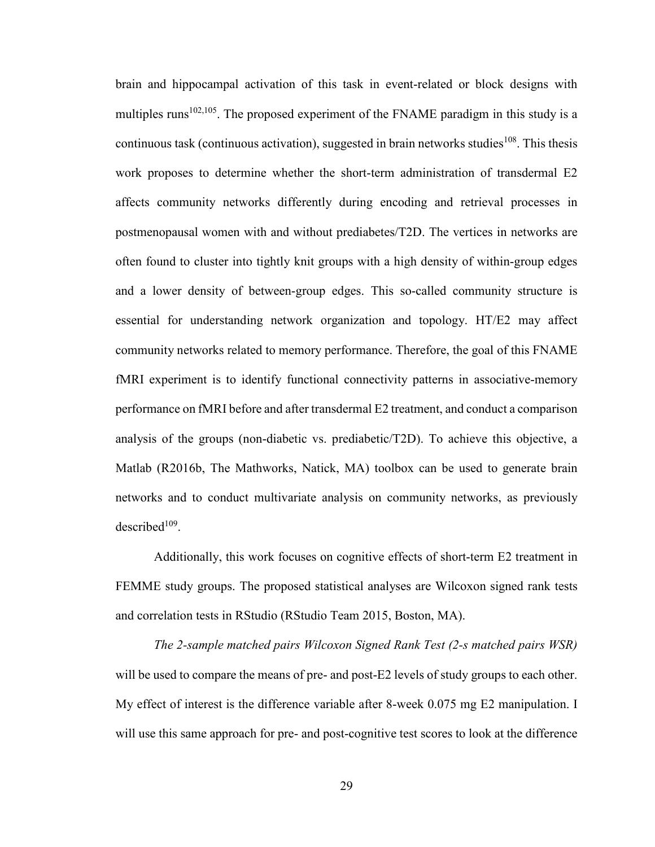brain and hippocampal activation of this task in event-related or block designs with multiples runs<sup>102,105</sup>. The proposed experiment of the FNAME paradigm in this study is a continuous task (continuous activation), suggested in brain networks studies<sup>108</sup>. This thesis work proposes to determine whether the short-term administration of transdermal E2 affects community networks differently during encoding and retrieval processes in postmenopausal women with and without prediabetes/T2D. The vertices in networks are often found to cluster into tightly knit groups with a high density of within-group edges and a lower density of between-group edges. This so-called community structure is essential for understanding network organization and topology. HT/E2 may affect community networks related to memory performance. Therefore, the goal of this FNAME fMRI experiment is to identify functional connectivity patterns in associative-memory performance on fMRI before and after transdermal E2 treatment, and conduct a comparison analysis of the groups (non-diabetic vs. prediabetic/T2D). To achieve this objective, a Matlab (R2016b, The Mathworks, Natick, MA) toolbox can be used to generate brain networks and to conduct multivariate analysis on community networks, as previously  $described<sup>109</sup>$ .

Additionally, this work focuses on cognitive effects of short-term E2 treatment in FEMME study groups. The proposed statistical analyses are Wilcoxon signed rank tests and correlation tests in RStudio (RStudio Team 2015, Boston, MA).

*The 2-sample matched pairs Wilcoxon Signed Rank Test (2-s matched pairs WSR)* will be used to compare the means of pre- and post-E2 levels of study groups to each other. My effect of interest is the difference variable after 8-week 0.075 mg E2 manipulation. I will use this same approach for pre- and post-cognitive test scores to look at the difference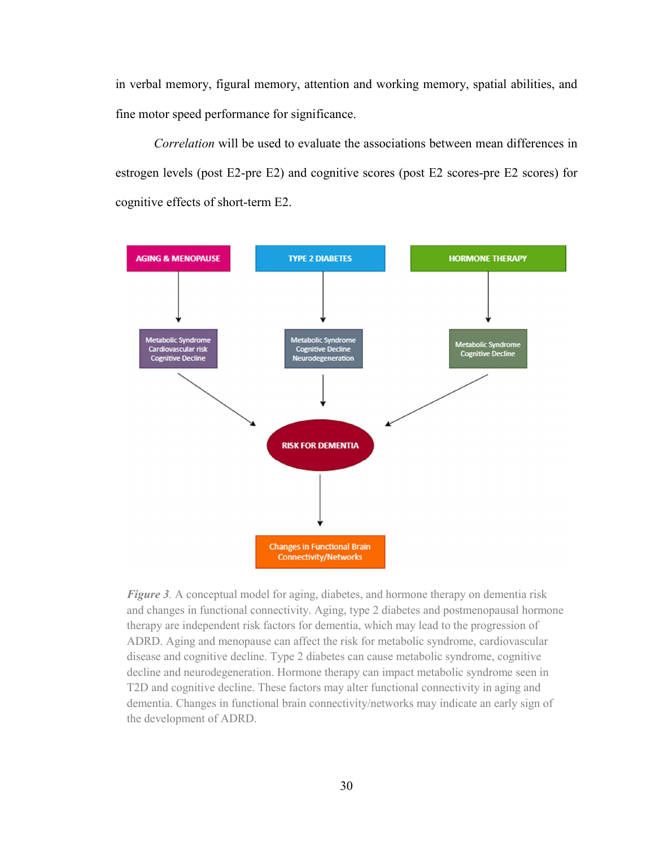in verbal memory, figural memory, attention and working memory, spatial abilities, and fine motor speed performance for significance.

*Correlation* will be used to evaluate the associations between mean differences in estrogen levels (post E2-pre E2) and cognitive scores (post E2 scores-pre E2 scores) for cognitive effects of short-term E2.



*Figure 3.* A conceptual model for aging, diabetes, and hormone therapy on dementia risk and changes in functional connectivity. Aging, type 2 diabetes and postmenopausal hormone therapy are independent risk factors for dementia, which may lead to the progression of ADRD. Aging and menopause can affect the risk for metabolic syndrome, cardiovascular disease and cognitive decline. Type 2 diabetes can cause metabolic syndrome, cognitive decline and neurodegeneration. Hormone therapy can impact metabolic syndrome seen in T2D and cognitive decline. These factors may alter functional connectivity in aging and dementia. Changes in functional brain connectivity/networks may indicate an early sign of the development of ADRD.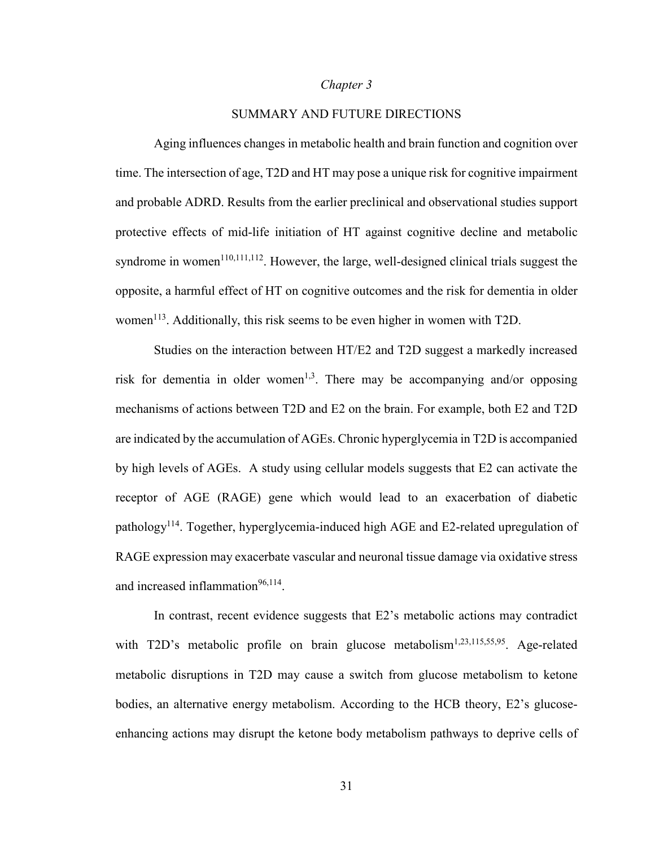#### *Chapter 3*

# SUMMARY AND FUTURE DIRECTIONS

Aging influences changes in metabolic health and brain function and cognition over time. The intersection of age, T2D and HT may pose a unique risk for cognitive impairment and probable ADRD. Results from the earlier preclinical and observational studies support protective effects of mid-life initiation of HT against cognitive decline and metabolic syndrome in women<sup>110,111,112</sup>. However, the large, well-designed clinical trials suggest the opposite, a harmful effect of HT on cognitive outcomes and the risk for dementia in older women<sup>113</sup>. Additionally, this risk seems to be even higher in women with T2D.

Studies on the interaction between HT/E2 and T2D suggest a markedly increased risk for dementia in older women<sup>1,3</sup>. There may be accompanying and/or opposing mechanisms of actions between T2D and E2 on the brain. For example, both E2 and T2D are indicated by the accumulation of AGEs. Chronic hyperglycemia in T2D is accompanied by high levels of AGEs. A study using cellular models suggests that E2 can activate the receptor of AGE (RAGE) gene which would lead to an exacerbation of diabetic pathology<sup>114</sup>. Together, hyperglycemia-induced high AGE and E2-related upregulation of RAGE expression may exacerbate vascular and neuronal tissue damage via oxidative stress and increased inflammation<sup>96,114</sup>.

In contrast, recent evidence suggests that E2's metabolic actions may contradict with T2D's metabolic profile on brain glucose metabolism<sup>1,23,115,55,95</sup>. Age-related metabolic disruptions in T2D may cause a switch from glucose metabolism to ketone bodies, an alternative energy metabolism. According to the HCB theory, E2's glucoseenhancing actions may disrupt the ketone body metabolism pathways to deprive cells of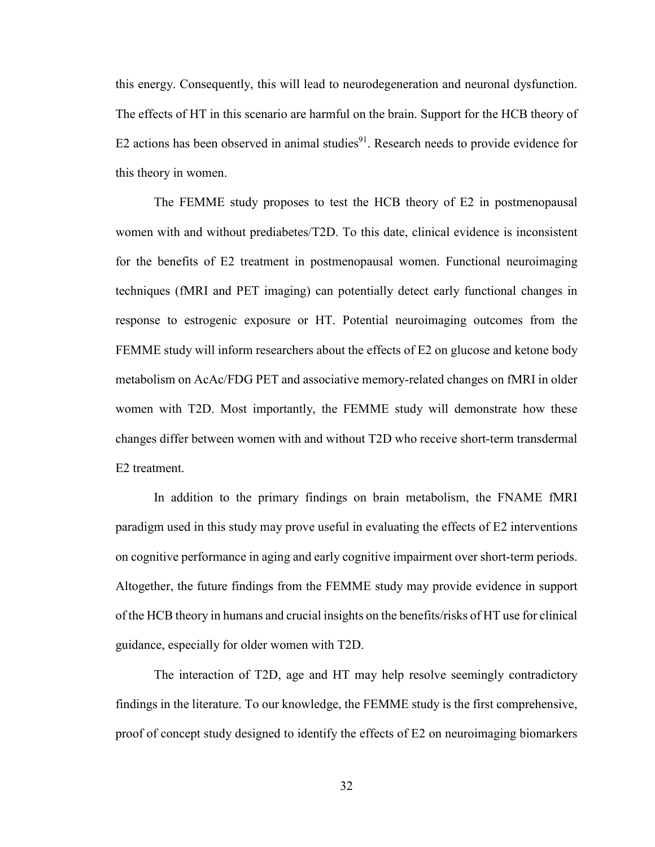this energy. Consequently, this will lead to neurodegeneration and neuronal dysfunction. The effects of HT in this scenario are harmful on the brain. Support for the HCB theory of E2 actions has been observed in animal studies $91$ . Research needs to provide evidence for this theory in women.

The FEMME study proposes to test the HCB theory of E2 in postmenopausal women with and without prediabetes/T2D. To this date, clinical evidence is inconsistent for the benefits of E2 treatment in postmenopausal women. Functional neuroimaging techniques (fMRI and PET imaging) can potentially detect early functional changes in response to estrogenic exposure or HT. Potential neuroimaging outcomes from the FEMME study will inform researchers about the effects of E2 on glucose and ketone body metabolism on AcAc/FDG PET and associative memory-related changes on fMRI in older women with T2D. Most importantly, the FEMME study will demonstrate how these changes differ between women with and without T2D who receive short-term transdermal E2 treatment.

In addition to the primary findings on brain metabolism, the FNAME fMRI paradigm used in this study may prove useful in evaluating the effects of E2 interventions on cognitive performance in aging and early cognitive impairment over short-term periods. Altogether, the future findings from the FEMME study may provide evidence in support of the HCB theory in humans and crucial insights on the benefits/risks of HT use for clinical guidance, especially for older women with T2D.

The interaction of T2D, age and HT may help resolve seemingly contradictory findings in the literature. To our knowledge, the FEMME study is the first comprehensive, proof of concept study designed to identify the effects of E2 on neuroimaging biomarkers

32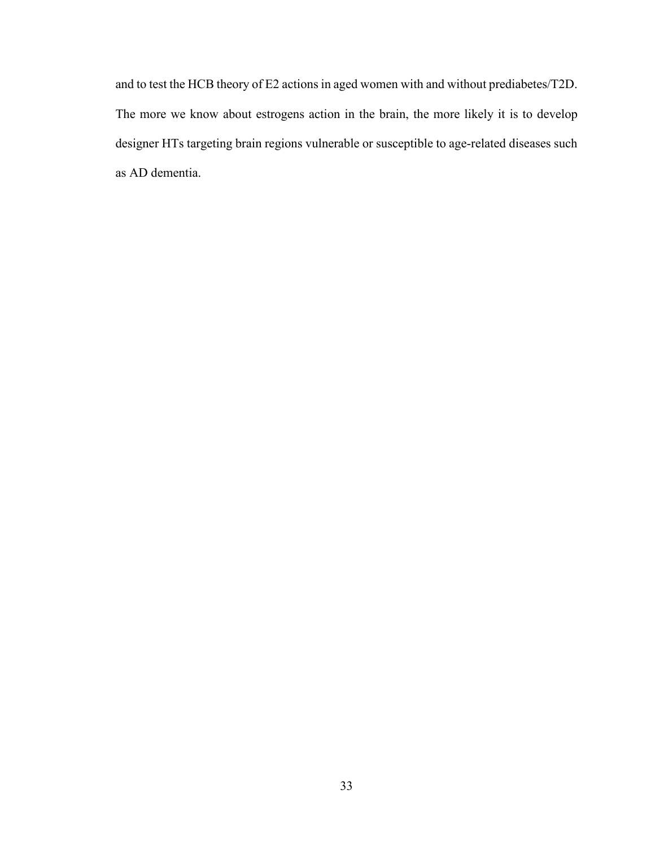and to test the HCB theory of E2 actions in aged women with and without prediabetes/T2D. The more we know about estrogens action in the brain, the more likely it is to develop designer HTs targeting brain regions vulnerable or susceptible to age-related diseases such as AD dementia.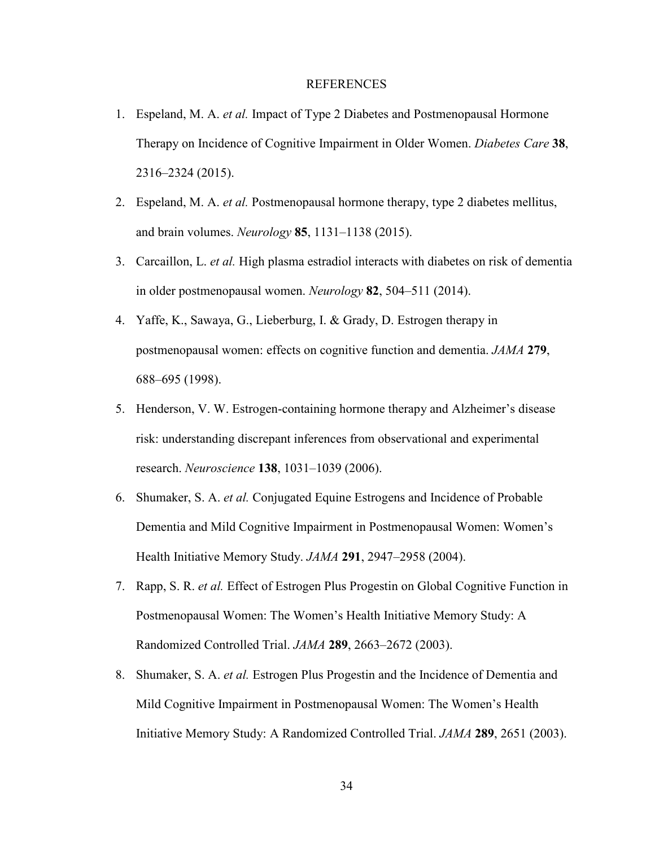#### REFERENCES

- 1. Espeland, M. A. *et al.* Impact of Type 2 Diabetes and Postmenopausal Hormone Therapy on Incidence of Cognitive Impairment in Older Women. *Diabetes Care* **38**, 2316–2324 (2015).
- 2. Espeland, M. A. *et al.* Postmenopausal hormone therapy, type 2 diabetes mellitus, and brain volumes. *Neurology* **85**, 1131–1138 (2015).
- 3. Carcaillon, L. *et al.* High plasma estradiol interacts with diabetes on risk of dementia in older postmenopausal women. *Neurology* **82**, 504–511 (2014).
- 4. Yaffe, K., Sawaya, G., Lieberburg, I. & Grady, D. Estrogen therapy in postmenopausal women: effects on cognitive function and dementia. *JAMA* **279**, 688–695 (1998).
- 5. Henderson, V. W. Estrogen-containing hormone therapy and Alzheimer's disease risk: understanding discrepant inferences from observational and experimental research. *Neuroscience* **138**, 1031–1039 (2006).
- 6. Shumaker, S. A. *et al.* Conjugated Equine Estrogens and Incidence of Probable Dementia and Mild Cognitive Impairment in Postmenopausal Women: Women's Health Initiative Memory Study. *JAMA* **291**, 2947–2958 (2004).
- 7. Rapp, S. R. *et al.* Effect of Estrogen Plus Progestin on Global Cognitive Function in Postmenopausal Women: The Women's Health Initiative Memory Study: A Randomized Controlled Trial. *JAMA* **289**, 2663–2672 (2003).
- 8. Shumaker, S. A. *et al.* Estrogen Plus Progestin and the Incidence of Dementia and Mild Cognitive Impairment in Postmenopausal Women: The Women's Health Initiative Memory Study: A Randomized Controlled Trial. *JAMA* **289**, 2651 (2003).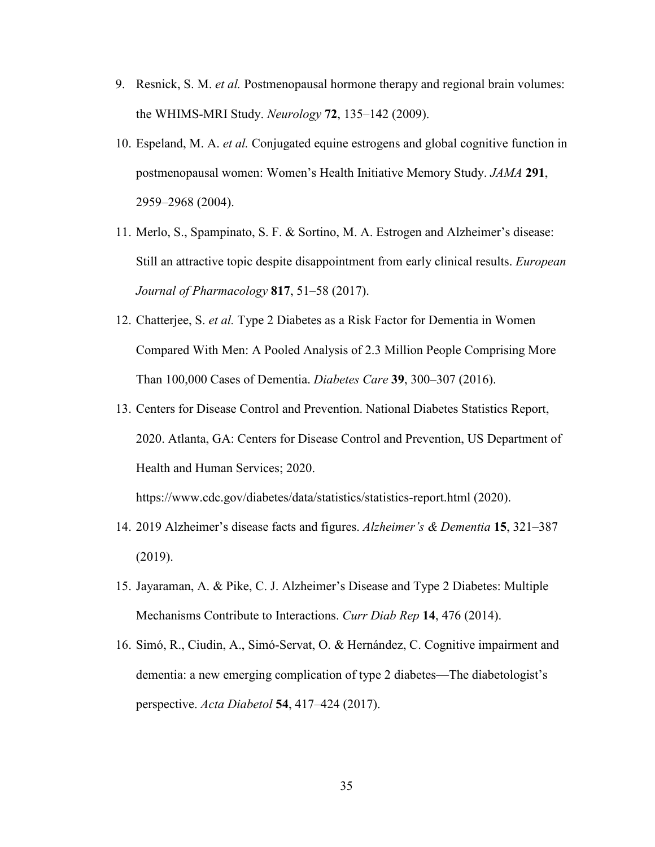- 9. Resnick, S. M. *et al.* Postmenopausal hormone therapy and regional brain volumes: the WHIMS-MRI Study. *Neurology* **72**, 135–142 (2009).
- 10. Espeland, M. A. *et al.* Conjugated equine estrogens and global cognitive function in postmenopausal women: Women's Health Initiative Memory Study. *JAMA* **291**, 2959–2968 (2004).
- 11. Merlo, S., Spampinato, S. F. & Sortino, M. A. Estrogen and Alzheimer's disease: Still an attractive topic despite disappointment from early clinical results. *European Journal of Pharmacology* **817**, 51–58 (2017).
- 12. Chatterjee, S. *et al.* Type 2 Diabetes as a Risk Factor for Dementia in Women Compared With Men: A Pooled Analysis of 2.3 Million People Comprising More Than 100,000 Cases of Dementia. *Diabetes Care* **39**, 300–307 (2016).
- 13. Centers for Disease Control and Prevention. National Diabetes Statistics Report, 2020. Atlanta, GA: Centers for Disease Control and Prevention, US Department of Health and Human Services; 2020.

https://www.cdc.gov/diabetes/data/statistics/statistics-report.html (2020).

- 14. 2019 Alzheimer's disease facts and figures. *Alzheimer's & Dementia* **15**, 321–387 (2019).
- 15. Jayaraman, A. & Pike, C. J. Alzheimer's Disease and Type 2 Diabetes: Multiple Mechanisms Contribute to Interactions. *Curr Diab Rep* **14**, 476 (2014).
- 16. Simó, R., Ciudin, A., Simó-Servat, O. & Hernández, C. Cognitive impairment and dementia: a new emerging complication of type 2 diabetes—The diabetologist's perspective. *Acta Diabetol* **54**, 417–424 (2017).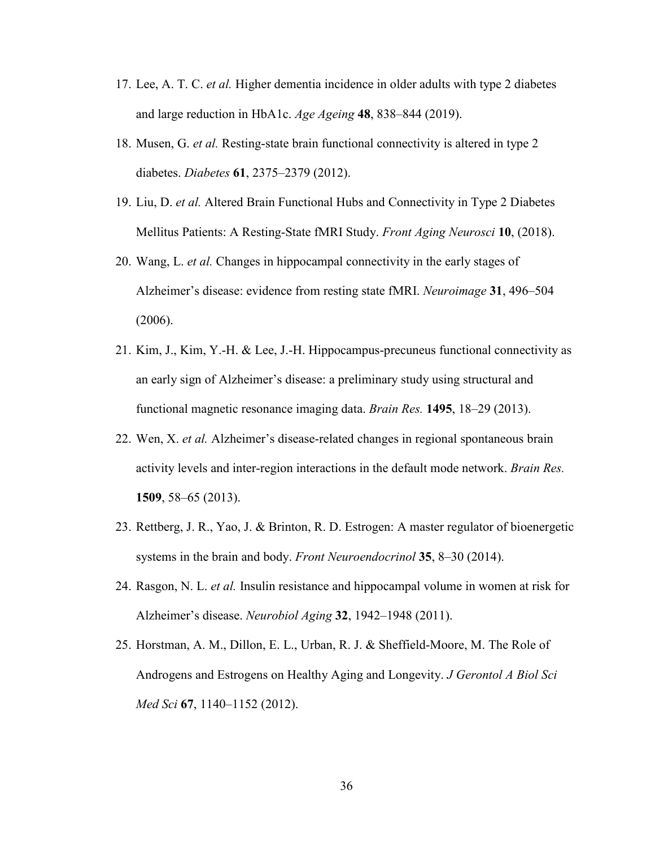- 17. Lee, A. T. C. *et al.* Higher dementia incidence in older adults with type 2 diabetes and large reduction in HbA1c. *Age Ageing* **48**, 838–844 (2019).
- 18. Musen, G. *et al.* Resting-state brain functional connectivity is altered in type 2 diabetes. *Diabetes* **61**, 2375–2379 (2012).
- 19. Liu, D. *et al.* Altered Brain Functional Hubs and Connectivity in Type 2 Diabetes Mellitus Patients: A Resting-State fMRI Study. *Front Aging Neurosci* **10**, (2018).
- 20. Wang, L. *et al.* Changes in hippocampal connectivity in the early stages of Alzheimer's disease: evidence from resting state fMRI. *Neuroimage* **31**, 496–504 (2006).
- 21. Kim, J., Kim, Y.-H. & Lee, J.-H. Hippocampus-precuneus functional connectivity as an early sign of Alzheimer's disease: a preliminary study using structural and functional magnetic resonance imaging data. *Brain Res.* **1495**, 18–29 (2013).
- 22. Wen, X. *et al.* Alzheimer's disease-related changes in regional spontaneous brain activity levels and inter-region interactions in the default mode network. *Brain Res.* **1509**, 58–65 (2013).
- 23. Rettberg, J. R., Yao, J. & Brinton, R. D. Estrogen: A master regulator of bioenergetic systems in the brain and body. *Front Neuroendocrinol* **35**, 8–30 (2014).
- 24. Rasgon, N. L. *et al.* Insulin resistance and hippocampal volume in women at risk for Alzheimer's disease. *Neurobiol Aging* **32**, 1942–1948 (2011).
- 25. Horstman, A. M., Dillon, E. L., Urban, R. J. & Sheffield-Moore, M. The Role of Androgens and Estrogens on Healthy Aging and Longevity. *J Gerontol A Biol Sci Med Sci* **67**, 1140–1152 (2012).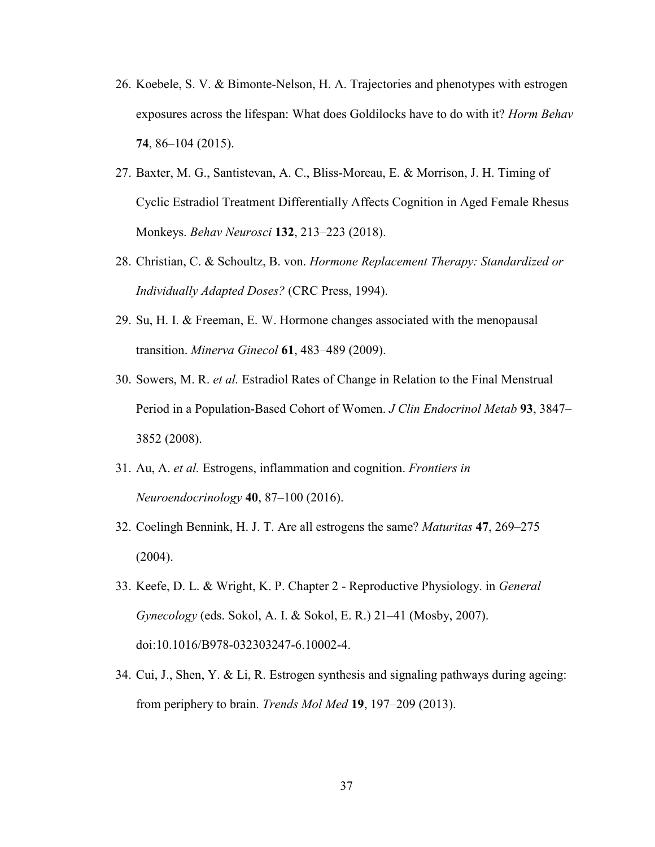- 26. Koebele, S. V. & Bimonte-Nelson, H. A. Trajectories and phenotypes with estrogen exposures across the lifespan: What does Goldilocks have to do with it? *Horm Behav* **74**, 86–104 (2015).
- 27. Baxter, M. G., Santistevan, A. C., Bliss-Moreau, E. & Morrison, J. H. Timing of Cyclic Estradiol Treatment Differentially Affects Cognition in Aged Female Rhesus Monkeys. *Behav Neurosci* **132**, 213–223 (2018).
- 28. Christian, C. & Schoultz, B. von. *Hormone Replacement Therapy: Standardized or Individually Adapted Doses?* (CRC Press, 1994).
- 29. Su, H. I. & Freeman, E. W. Hormone changes associated with the menopausal transition. *Minerva Ginecol* **61**, 483–489 (2009).
- 30. Sowers, M. R. *et al.* Estradiol Rates of Change in Relation to the Final Menstrual Period in a Population-Based Cohort of Women. *J Clin Endocrinol Metab* **93**, 3847– 3852 (2008).
- 31. Au, A. *et al.* Estrogens, inflammation and cognition. *Frontiers in Neuroendocrinology* **40**, 87–100 (2016).
- 32. Coelingh Bennink, H. J. T. Are all estrogens the same? *Maturitas* **47**, 269–275 (2004).
- 33. Keefe, D. L. & Wright, K. P. Chapter 2 Reproductive Physiology. in *General Gynecology* (eds. Sokol, A. I. & Sokol, E. R.) 21–41 (Mosby, 2007). doi:10.1016/B978-032303247-6.10002-4.
- 34. Cui, J., Shen, Y. & Li, R. Estrogen synthesis and signaling pathways during ageing: from periphery to brain. *Trends Mol Med* **19**, 197–209 (2013).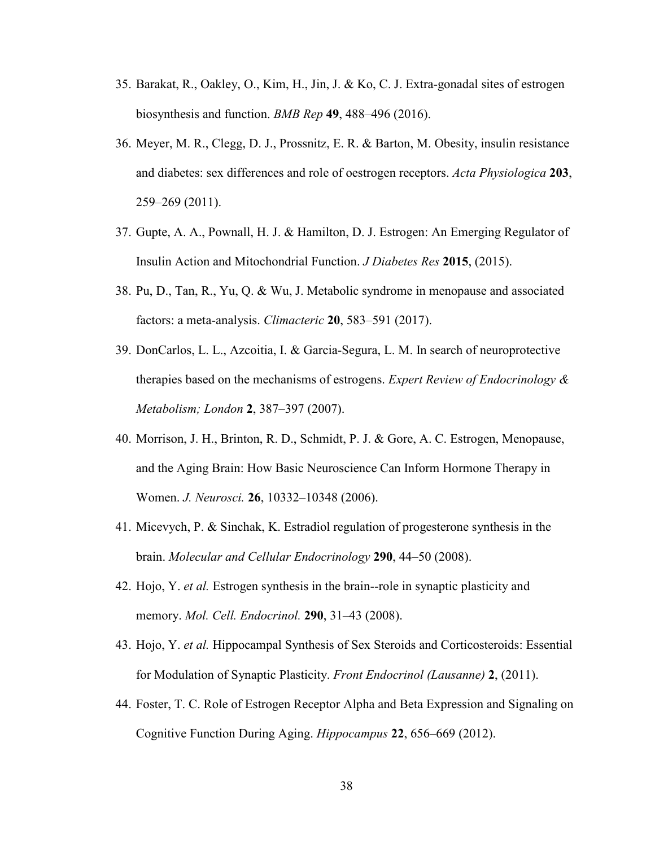- 35. Barakat, R., Oakley, O., Kim, H., Jin, J. & Ko, C. J. Extra-gonadal sites of estrogen biosynthesis and function. *BMB Rep* **49**, 488–496 (2016).
- 36. Meyer, M. R., Clegg, D. J., Prossnitz, E. R. & Barton, M. Obesity, insulin resistance and diabetes: sex differences and role of oestrogen receptors. *Acta Physiologica* **203**, 259–269 (2011).
- 37. Gupte, A. A., Pownall, H. J. & Hamilton, D. J. Estrogen: An Emerging Regulator of Insulin Action and Mitochondrial Function. *J Diabetes Res* **2015**, (2015).
- 38. Pu, D., Tan, R., Yu, Q. & Wu, J. Metabolic syndrome in menopause and associated factors: a meta-analysis. *Climacteric* **20**, 583–591 (2017).
- 39. DonCarlos, L. L., Azcoitia, I. & Garcia-Segura, L. M. In search of neuroprotective therapies based on the mechanisms of estrogens. *Expert Review of Endocrinology & Metabolism; London* **2**, 387–397 (2007).
- 40. Morrison, J. H., Brinton, R. D., Schmidt, P. J. & Gore, A. C. Estrogen, Menopause, and the Aging Brain: How Basic Neuroscience Can Inform Hormone Therapy in Women. *J. Neurosci.* **26**, 10332–10348 (2006).
- 41. Micevych, P. & Sinchak, K. Estradiol regulation of progesterone synthesis in the brain. *Molecular and Cellular Endocrinology* **290**, 44–50 (2008).
- 42. Hojo, Y. *et al.* Estrogen synthesis in the brain--role in synaptic plasticity and memory. *Mol. Cell. Endocrinol.* **290**, 31–43 (2008).
- 43. Hojo, Y. *et al.* Hippocampal Synthesis of Sex Steroids and Corticosteroids: Essential for Modulation of Synaptic Plasticity. *Front Endocrinol (Lausanne)* **2**, (2011).
- 44. Foster, T. C. Role of Estrogen Receptor Alpha and Beta Expression and Signaling on Cognitive Function During Aging. *Hippocampus* **22**, 656–669 (2012).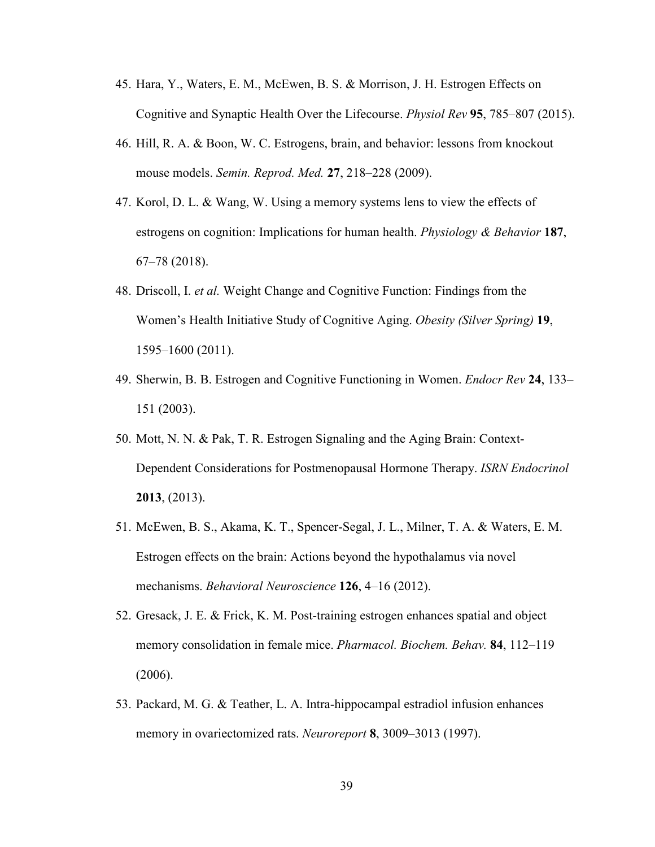- 45. Hara, Y., Waters, E. M., McEwen, B. S. & Morrison, J. H. Estrogen Effects on Cognitive and Synaptic Health Over the Lifecourse. *Physiol Rev* **95**, 785–807 (2015).
- 46. Hill, R. A. & Boon, W. C. Estrogens, brain, and behavior: lessons from knockout mouse models. *Semin. Reprod. Med.* **27**, 218–228 (2009).
- 47. Korol, D. L. & Wang, W. Using a memory systems lens to view the effects of estrogens on cognition: Implications for human health. *Physiology & Behavior* **187**, 67–78 (2018).
- 48. Driscoll, I. *et al.* Weight Change and Cognitive Function: Findings from the Women's Health Initiative Study of Cognitive Aging. *Obesity (Silver Spring)* **19**, 1595–1600 (2011).
- 49. Sherwin, B. B. Estrogen and Cognitive Functioning in Women. *Endocr Rev* **24**, 133– 151 (2003).
- 50. Mott, N. N. & Pak, T. R. Estrogen Signaling and the Aging Brain: Context-Dependent Considerations for Postmenopausal Hormone Therapy. *ISRN Endocrinol* **2013**, (2013).
- 51. McEwen, B. S., Akama, K. T., Spencer-Segal, J. L., Milner, T. A. & Waters, E. M. Estrogen effects on the brain: Actions beyond the hypothalamus via novel mechanisms. *Behavioral Neuroscience* **126**, 4–16 (2012).
- 52. Gresack, J. E. & Frick, K. M. Post-training estrogen enhances spatial and object memory consolidation in female mice. *Pharmacol. Biochem. Behav.* **84**, 112–119 (2006).
- 53. Packard, M. G. & Teather, L. A. Intra-hippocampal estradiol infusion enhances memory in ovariectomized rats. *Neuroreport* **8**, 3009–3013 (1997).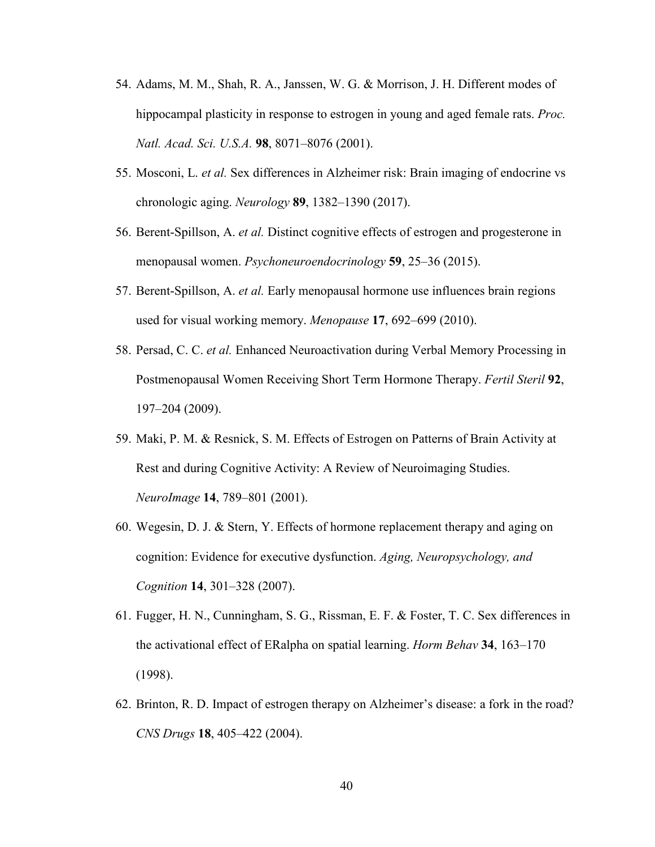- 54. Adams, M. M., Shah, R. A., Janssen, W. G. & Morrison, J. H. Different modes of hippocampal plasticity in response to estrogen in young and aged female rats. *Proc. Natl. Acad. Sci. U.S.A.* **98**, 8071–8076 (2001).
- 55. Mosconi, L. *et al.* Sex differences in Alzheimer risk: Brain imaging of endocrine vs chronologic aging. *Neurology* **89**, 1382–1390 (2017).
- 56. Berent-Spillson, A. *et al.* Distinct cognitive effects of estrogen and progesterone in menopausal women. *Psychoneuroendocrinology* **59**, 25–36 (2015).
- 57. Berent-Spillson, A. *et al.* Early menopausal hormone use influences brain regions used for visual working memory. *Menopause* **17**, 692–699 (2010).
- 58. Persad, C. C. *et al.* Enhanced Neuroactivation during Verbal Memory Processing in Postmenopausal Women Receiving Short Term Hormone Therapy. *Fertil Steril* **92**, 197–204 (2009).
- 59. Maki, P. M. & Resnick, S. M. Effects of Estrogen on Patterns of Brain Activity at Rest and during Cognitive Activity: A Review of Neuroimaging Studies. *NeuroImage* **14**, 789–801 (2001).
- 60. Wegesin, D. J. & Stern, Y. Effects of hormone replacement therapy and aging on cognition: Evidence for executive dysfunction. *Aging, Neuropsychology, and Cognition* **14**, 301–328 (2007).
- 61. Fugger, H. N., Cunningham, S. G., Rissman, E. F. & Foster, T. C. Sex differences in the activational effect of ERalpha on spatial learning. *Horm Behav* **34**, 163–170 (1998).
- 62. Brinton, R. D. Impact of estrogen therapy on Alzheimer's disease: a fork in the road? *CNS Drugs* **18**, 405–422 (2004).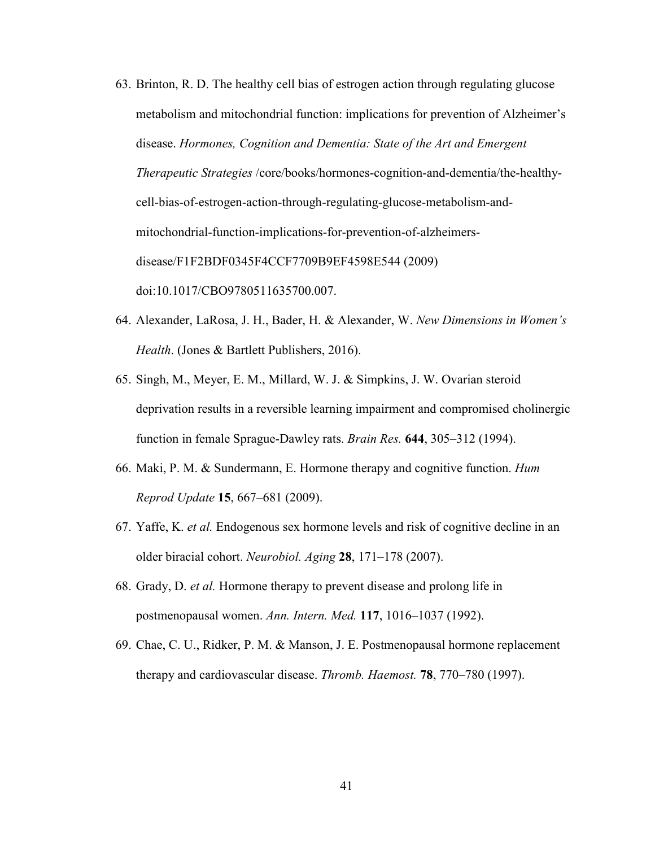- 63. Brinton, R. D. The healthy cell bias of estrogen action through regulating glucose metabolism and mitochondrial function: implications for prevention of Alzheimer's disease. *Hormones, Cognition and Dementia: State of the Art and Emergent Therapeutic Strategies* /core/books/hormones-cognition-and-dementia/the-healthycell-bias-of-estrogen-action-through-regulating-glucose-metabolism-andmitochondrial-function-implications-for-prevention-of-alzheimersdisease/F1F2BDF0345F4CCF7709B9EF4598E544 (2009) doi:10.1017/CBO9780511635700.007.
- 64. Alexander, LaRosa, J. H., Bader, H. & Alexander, W. *New Dimensions in Women's Health*. (Jones & Bartlett Publishers, 2016).
- 65. Singh, M., Meyer, E. M., Millard, W. J. & Simpkins, J. W. Ovarian steroid deprivation results in a reversible learning impairment and compromised cholinergic function in female Sprague-Dawley rats. *Brain Res.* **644**, 305–312 (1994).
- 66. Maki, P. M. & Sundermann, E. Hormone therapy and cognitive function. *Hum Reprod Update* **15**, 667–681 (2009).
- 67. Yaffe, K. *et al.* Endogenous sex hormone levels and risk of cognitive decline in an older biracial cohort. *Neurobiol. Aging* **28**, 171–178 (2007).
- 68. Grady, D. *et al.* Hormone therapy to prevent disease and prolong life in postmenopausal women. *Ann. Intern. Med.* **117**, 1016–1037 (1992).
- 69. Chae, C. U., Ridker, P. M. & Manson, J. E. Postmenopausal hormone replacement therapy and cardiovascular disease. *Thromb. Haemost.* **78**, 770–780 (1997).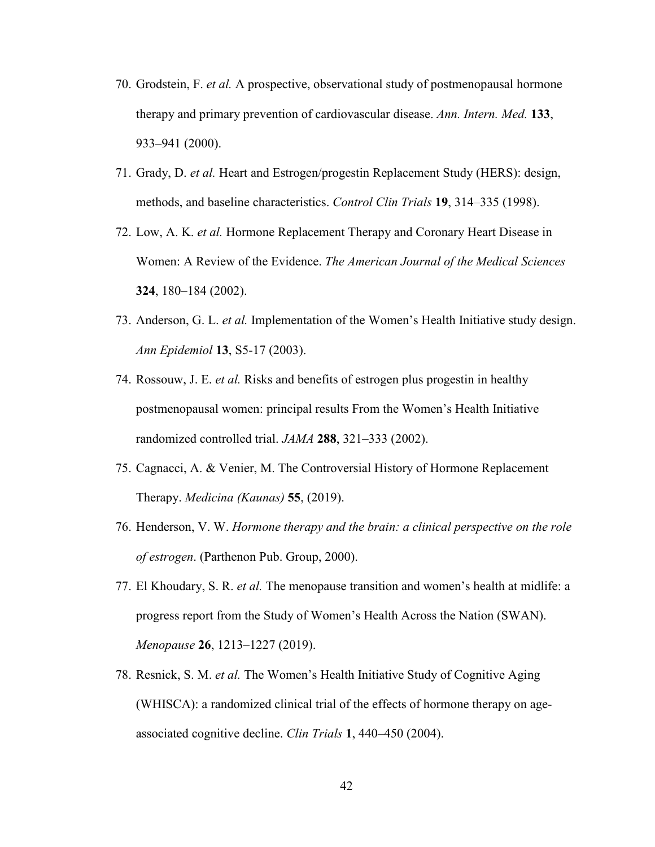- 70. Grodstein, F. *et al.* A prospective, observational study of postmenopausal hormone therapy and primary prevention of cardiovascular disease. *Ann. Intern. Med.* **133**, 933–941 (2000).
- 71. Grady, D. *et al.* Heart and Estrogen/progestin Replacement Study (HERS): design, methods, and baseline characteristics. *Control Clin Trials* **19**, 314–335 (1998).
- 72. Low, A. K. *et al.* Hormone Replacement Therapy and Coronary Heart Disease in Women: A Review of the Evidence. *The American Journal of the Medical Sciences* **324**, 180–184 (2002).
- 73. Anderson, G. L. *et al.* Implementation of the Women's Health Initiative study design. *Ann Epidemiol* **13**, S5-17 (2003).
- 74. Rossouw, J. E. *et al.* Risks and benefits of estrogen plus progestin in healthy postmenopausal women: principal results From the Women's Health Initiative randomized controlled trial. *JAMA* **288**, 321–333 (2002).
- 75. Cagnacci, A. & Venier, M. The Controversial History of Hormone Replacement Therapy. *Medicina (Kaunas)* **55**, (2019).
- 76. Henderson, V. W. *Hormone therapy and the brain: a clinical perspective on the role of estrogen*. (Parthenon Pub. Group, 2000).
- 77. El Khoudary, S. R. *et al.* The menopause transition and women's health at midlife: a progress report from the Study of Women's Health Across the Nation (SWAN). *Menopause* **26**, 1213–1227 (2019).
- 78. Resnick, S. M. *et al.* The Women's Health Initiative Study of Cognitive Aging (WHISCA): a randomized clinical trial of the effects of hormone therapy on ageassociated cognitive decline. *Clin Trials* **1**, 440–450 (2004).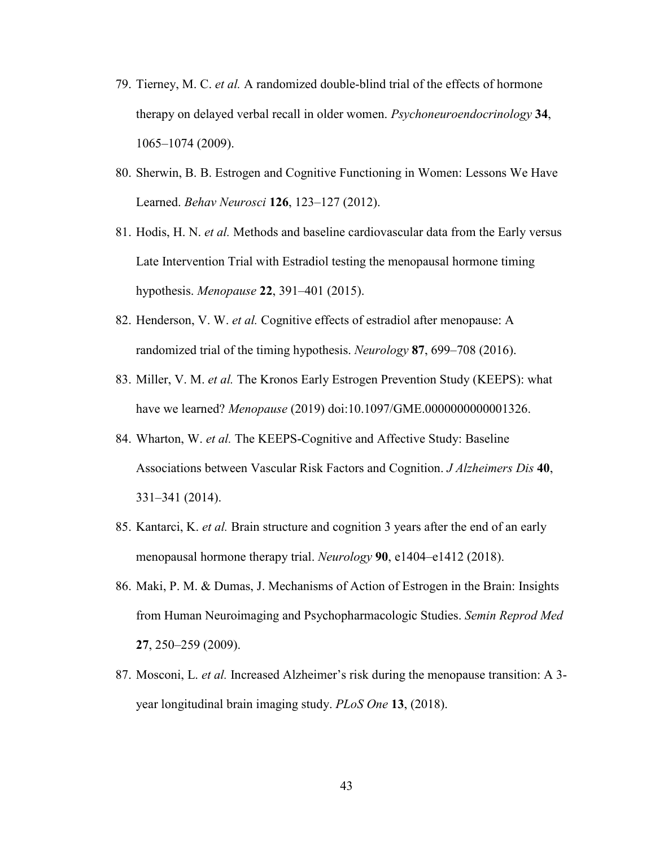- 79. Tierney, M. C. *et al.* A randomized double-blind trial of the effects of hormone therapy on delayed verbal recall in older women. *Psychoneuroendocrinology* **34**, 1065–1074 (2009).
- 80. Sherwin, B. B. Estrogen and Cognitive Functioning in Women: Lessons We Have Learned. *Behav Neurosci* **126**, 123–127 (2012).
- 81. Hodis, H. N. *et al.* Methods and baseline cardiovascular data from the Early versus Late Intervention Trial with Estradiol testing the menopausal hormone timing hypothesis. *Menopause* **22**, 391–401 (2015).
- 82. Henderson, V. W. *et al.* Cognitive effects of estradiol after menopause: A randomized trial of the timing hypothesis. *Neurology* **87**, 699–708 (2016).
- 83. Miller, V. M. *et al.* The Kronos Early Estrogen Prevention Study (KEEPS): what have we learned? *Menopause* (2019) doi:10.1097/GME.0000000000001326.
- 84. Wharton, W. *et al.* The KEEPS-Cognitive and Affective Study: Baseline Associations between Vascular Risk Factors and Cognition. *J Alzheimers Dis* **40**, 331–341 (2014).
- 85. Kantarci, K. *et al.* Brain structure and cognition 3 years after the end of an early menopausal hormone therapy trial. *Neurology* **90**, e1404–e1412 (2018).
- 86. Maki, P. M. & Dumas, J. Mechanisms of Action of Estrogen in the Brain: Insights from Human Neuroimaging and Psychopharmacologic Studies. *Semin Reprod Med* **27**, 250–259 (2009).
- 87. Mosconi, L. *et al.* Increased Alzheimer's risk during the menopause transition: A 3 year longitudinal brain imaging study. *PLoS One* **13**, (2018).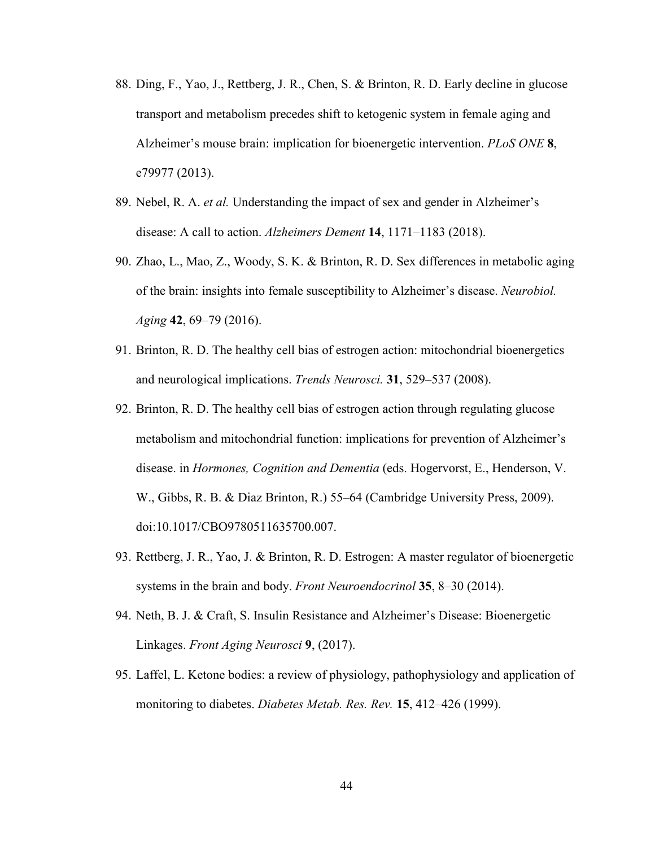- 88. Ding, F., Yao, J., Rettberg, J. R., Chen, S. & Brinton, R. D. Early decline in glucose transport and metabolism precedes shift to ketogenic system in female aging and Alzheimer's mouse brain: implication for bioenergetic intervention. *PLoS ONE* **8**, e79977 (2013).
- 89. Nebel, R. A. *et al.* Understanding the impact of sex and gender in Alzheimer's disease: A call to action. *Alzheimers Dement* **14**, 1171–1183 (2018).
- 90. Zhao, L., Mao, Z., Woody, S. K. & Brinton, R. D. Sex differences in metabolic aging of the brain: insights into female susceptibility to Alzheimer's disease. *Neurobiol. Aging* **42**, 69–79 (2016).
- 91. Brinton, R. D. The healthy cell bias of estrogen action: mitochondrial bioenergetics and neurological implications. *Trends Neurosci.* **31**, 529–537 (2008).
- 92. Brinton, R. D. The healthy cell bias of estrogen action through regulating glucose metabolism and mitochondrial function: implications for prevention of Alzheimer's disease. in *Hormones, Cognition and Dementia* (eds. Hogervorst, E., Henderson, V. W., Gibbs, R. B. & Diaz Brinton, R.) 55–64 (Cambridge University Press, 2009). doi:10.1017/CBO9780511635700.007.
- 93. Rettberg, J. R., Yao, J. & Brinton, R. D. Estrogen: A master regulator of bioenergetic systems in the brain and body. *Front Neuroendocrinol* **35**, 8–30 (2014).
- 94. Neth, B. J. & Craft, S. Insulin Resistance and Alzheimer's Disease: Bioenergetic Linkages. *Front Aging Neurosci* **9**, (2017).
- 95. Laffel, L. Ketone bodies: a review of physiology, pathophysiology and application of monitoring to diabetes. *Diabetes Metab. Res. Rev.* **15**, 412–426 (1999).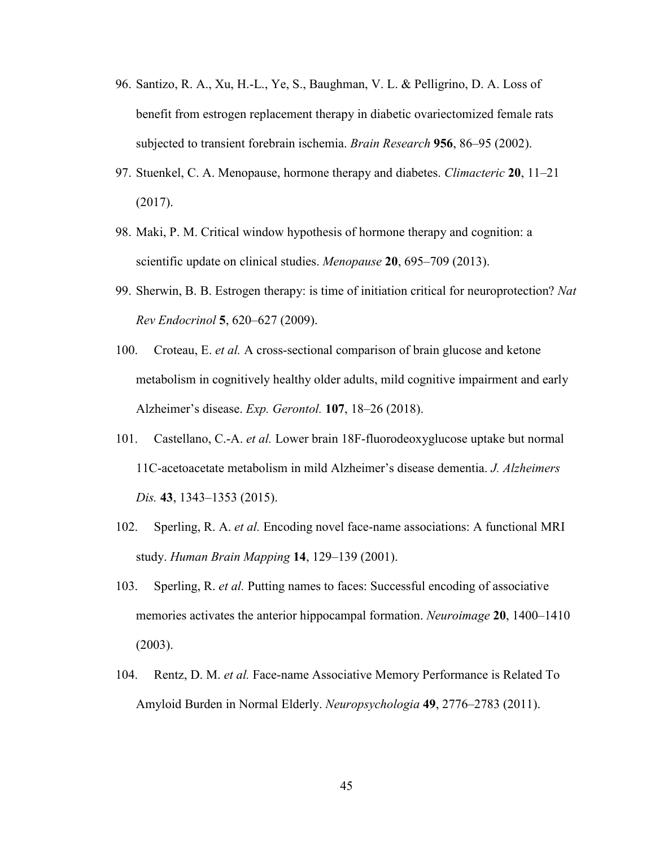- 96. Santizo, R. A., Xu, H.-L., Ye, S., Baughman, V. L. & Pelligrino, D. A. Loss of benefit from estrogen replacement therapy in diabetic ovariectomized female rats subjected to transient forebrain ischemia. *Brain Research* **956**, 86–95 (2002).
- 97. Stuenkel, C. A. Menopause, hormone therapy and diabetes. *Climacteric* **20**, 11–21 (2017).
- 98. Maki, P. M. Critical window hypothesis of hormone therapy and cognition: a scientific update on clinical studies. *Menopause* **20**, 695–709 (2013).
- 99. Sherwin, B. B. Estrogen therapy: is time of initiation critical for neuroprotection? *Nat Rev Endocrinol* **5**, 620–627 (2009).
- 100. Croteau, E. *et al.* A cross-sectional comparison of brain glucose and ketone metabolism in cognitively healthy older adults, mild cognitive impairment and early Alzheimer's disease. *Exp. Gerontol.* **107**, 18–26 (2018).
- 101. Castellano, C.-A. *et al.* Lower brain 18F-fluorodeoxyglucose uptake but normal 11C-acetoacetate metabolism in mild Alzheimer's disease dementia. *J. Alzheimers Dis.* **43**, 1343–1353 (2015).
- 102. Sperling, R. A. *et al.* Encoding novel face-name associations: A functional MRI study. *Human Brain Mapping* **14**, 129–139 (2001).
- 103. Sperling, R. *et al.* Putting names to faces: Successful encoding of associative memories activates the anterior hippocampal formation. *Neuroimage* **20**, 1400–1410 (2003).
- 104. Rentz, D. M. *et al.* Face-name Associative Memory Performance is Related To Amyloid Burden in Normal Elderly. *Neuropsychologia* **49**, 2776–2783 (2011).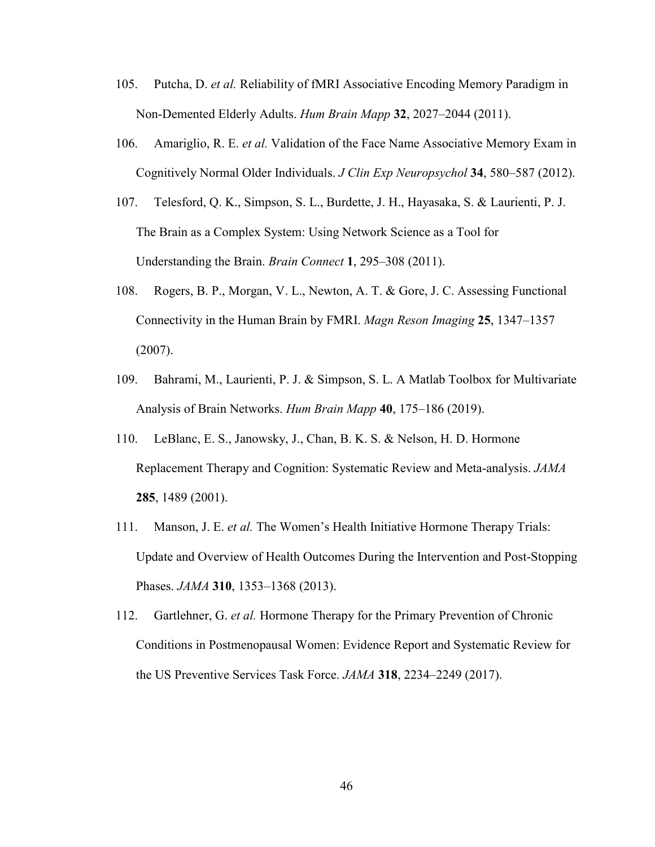- 105. Putcha, D. *et al.* Reliability of fMRI Associative Encoding Memory Paradigm in Non-Demented Elderly Adults. *Hum Brain Mapp* **32**, 2027–2044 (2011).
- 106. Amariglio, R. E. *et al.* Validation of the Face Name Associative Memory Exam in Cognitively Normal Older Individuals. *J Clin Exp Neuropsychol* **34**, 580–587 (2012).
- 107. Telesford, Q. K., Simpson, S. L., Burdette, J. H., Hayasaka, S. & Laurienti, P. J. The Brain as a Complex System: Using Network Science as a Tool for Understanding the Brain. *Brain Connect* **1**, 295–308 (2011).
- 108. Rogers, B. P., Morgan, V. L., Newton, A. T. & Gore, J. C. Assessing Functional Connectivity in the Human Brain by FMRI. *Magn Reson Imaging* **25**, 1347–1357 (2007).
- 109. Bahrami, M., Laurienti, P. J. & Simpson, S. L. A Matlab Toolbox for Multivariate Analysis of Brain Networks. *Hum Brain Mapp* **40**, 175–186 (2019).
- 110. LeBlanc, E. S., Janowsky, J., Chan, B. K. S. & Nelson, H. D. Hormone Replacement Therapy and Cognition: Systematic Review and Meta-analysis. *JAMA* **285**, 1489 (2001).
- 111. Manson, J. E. *et al.* The Women's Health Initiative Hormone Therapy Trials: Update and Overview of Health Outcomes During the Intervention and Post-Stopping Phases. *JAMA* **310**, 1353–1368 (2013).
- 112. Gartlehner, G. *et al.* Hormone Therapy for the Primary Prevention of Chronic Conditions in Postmenopausal Women: Evidence Report and Systematic Review for the US Preventive Services Task Force. *JAMA* **318**, 2234–2249 (2017).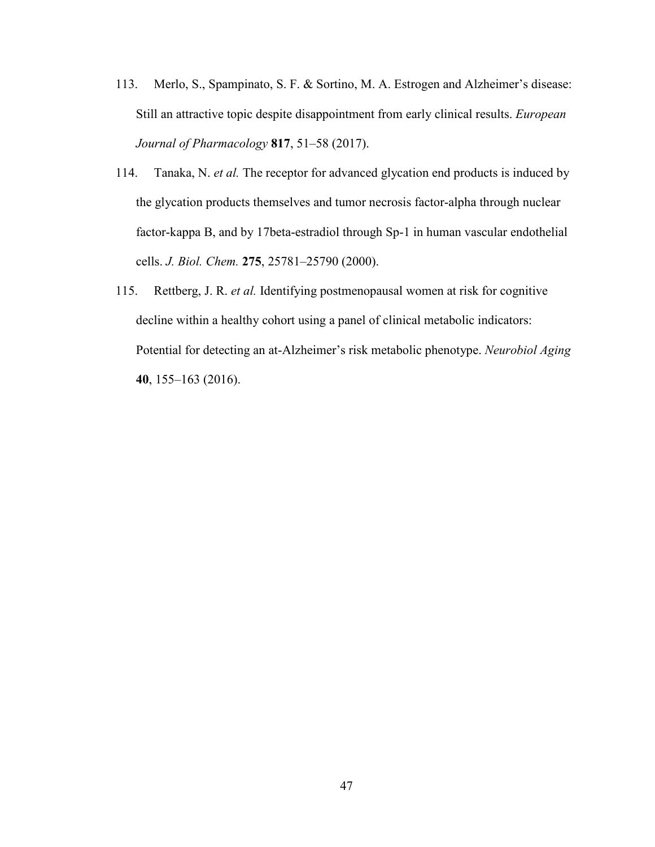- 113. Merlo, S., Spampinato, S. F. & Sortino, M. A. Estrogen and Alzheimer's disease: Still an attractive topic despite disappointment from early clinical results. *European Journal of Pharmacology* **817**, 51–58 (2017).
- 114. Tanaka, N. *et al.* The receptor for advanced glycation end products is induced by the glycation products themselves and tumor necrosis factor-alpha through nuclear factor-kappa B, and by 17beta-estradiol through Sp-1 in human vascular endothelial cells. *J. Biol. Chem.* **275**, 25781–25790 (2000).
- 115. Rettberg, J. R. *et al.* Identifying postmenopausal women at risk for cognitive decline within a healthy cohort using a panel of clinical metabolic indicators: Potential for detecting an at-Alzheimer's risk metabolic phenotype. *Neurobiol Aging* **40**, 155–163 (2016).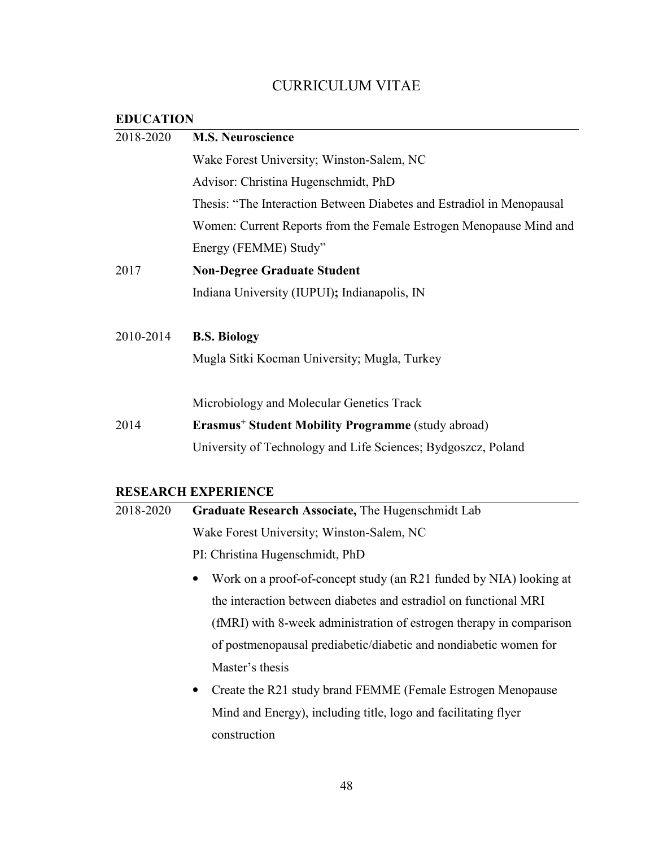# CURRICULUM VITAE

# **EDUCATION**

| 2018-2020 | <b>M.S. Neuroscience</b>                                              |
|-----------|-----------------------------------------------------------------------|
|           | Wake Forest University; Winston-Salem, NC                             |
|           | Advisor: Christina Hugenschmidt, PhD                                  |
|           | Thesis: "The Interaction Between Diabetes and Estradiol in Menopausal |
|           | Women: Current Reports from the Female Estrogen Menopause Mind and    |
|           | Energy (FEMME) Study"                                                 |
| 2017      | <b>Non-Degree Graduate Student</b>                                    |
|           | Indiana University (IUPUI); Indianapolis, IN                          |
| 2010-2014 | <b>B.S. Biology</b>                                                   |
|           | Mugla Sitki Kocman University; Mugla, Turkey                          |
|           | Microbiology and Molecular Genetics Track                             |
| 2014      | <b>Erasmus<sup>+</sup> Student Mobility Programme</b> (study abroad)  |
|           | University of Technology and Life Sciences; Bydgoszcz, Poland         |

# **RESEARCH EXPERIENCE**<br>2018-2020 **Graduate Resear**

| 2018-2020 | Graduate Research Associate, The Hugenschmidt Lab                         |
|-----------|---------------------------------------------------------------------------|
|           | Wake Forest University; Winston-Salem, NC                                 |
|           | PI: Christina Hugenschmidt, PhD                                           |
|           | Work on a proof-of-concept study (an R21 funded by NIA) looking at        |
|           | the interaction between diabetes and estradiol on functional MRI          |
|           | (fMRI) with 8-week administration of estrogen therapy in comparison       |
|           | of postmenopausal prediabetic/diabetic and nondiabetic women for          |
|           | Master's thesis                                                           |
|           | Create the R21 study brand FEMME (Female Estrogen Menopause)<br>$\bullet$ |
|           | Mind and Energy), including title, logo and facilitating flyer            |
|           | construction                                                              |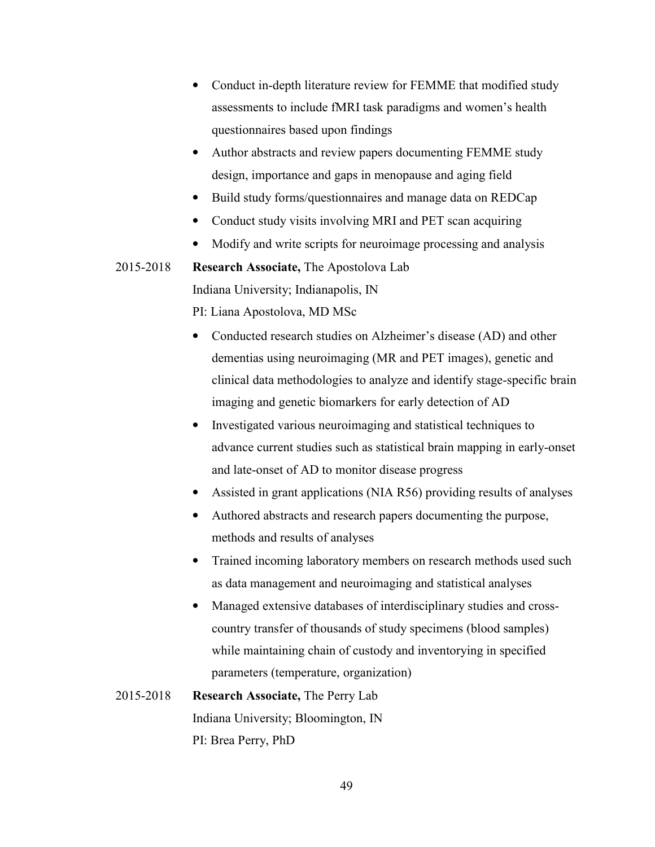- Conduct in-depth literature review for FEMME that modified study assessments to include fMRI task paradigms and women's health questionnaires based upon findings
- Author abstracts and review papers documenting FEMME study design, importance and gaps in menopause and aging field
- Build study forms/questionnaires and manage data on REDCap
- Conduct study visits involving MRI and PET scan acquiring
- Modify and write scripts for neuroimage processing and analysis

2015-2018 **Research Associate,** The Apostolova Lab Indiana University; Indianapolis, IN

PI: Liana Apostolova, MD MSc

- Conducted research studies on Alzheimer's disease (AD) and other dementias using neuroimaging (MR and PET images), genetic and clinical data methodologies to analyze and identify stage-specific brain imaging and genetic biomarkers for early detection of AD
- Investigated various neuroimaging and statistical techniques to advance current studies such as statistical brain mapping in early-onset and late-onset of AD to monitor disease progress
- Assisted in grant applications (NIA R56) providing results of analyses
- Authored abstracts and research papers documenting the purpose, methods and results of analyses
- Trained incoming laboratory members on research methods used such as data management and neuroimaging and statistical analyses
- Managed extensive databases of interdisciplinary studies and crosscountry transfer of thousands of study specimens (blood samples) while maintaining chain of custody and inventorying in specified parameters (temperature, organization)
- 2015-2018 **Research Associate,** The Perry Lab Indiana University; Bloomington, IN PI: Brea Perry, PhD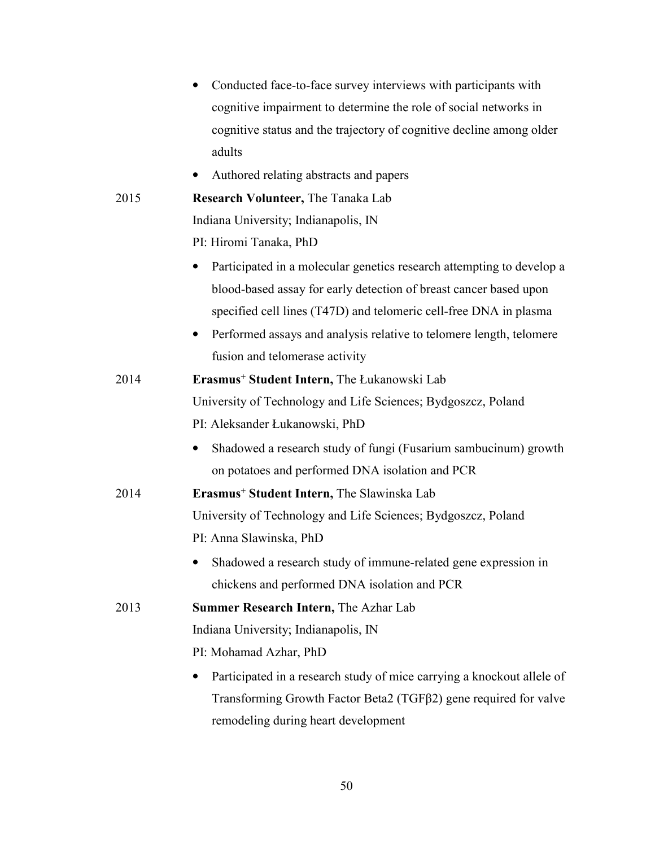|      | Conducted face-to-face survey interviews with participants with                                                                                         |
|------|---------------------------------------------------------------------------------------------------------------------------------------------------------|
|      | cognitive impairment to determine the role of social networks in                                                                                        |
|      | cognitive status and the trajectory of cognitive decline among older                                                                                    |
|      | adults                                                                                                                                                  |
|      | Authored relating abstracts and papers                                                                                                                  |
| 2015 | <b>Research Volunteer, The Tanaka Lab</b>                                                                                                               |
|      | Indiana University; Indianapolis, IN                                                                                                                    |
|      | PI: Hiromi Tanaka, PhD                                                                                                                                  |
|      | Participated in a molecular genetics research attempting to develop a<br>$\bullet$<br>blood-based assay for early detection of breast cancer based upon |
|      | specified cell lines (T47D) and telomeric cell-free DNA in plasma                                                                                       |
|      | Performed assays and analysis relative to telomere length, telomere                                                                                     |
|      | fusion and telomerase activity                                                                                                                          |
| 2014 | Erasmus <sup>+</sup> Student Intern, The Łukanowski Lab                                                                                                 |
|      | University of Technology and Life Sciences; Bydgoszcz, Poland                                                                                           |
|      | PI: Aleksander Łukanowski, PhD                                                                                                                          |
|      | Shadowed a research study of fungi (Fusarium sambucinum) growth<br>$\bullet$                                                                            |
|      | on potatoes and performed DNA isolation and PCR                                                                                                         |
| 2014 | Erasmus <sup>+</sup> Student Intern, The Slawinska Lab                                                                                                  |
|      | University of Technology and Life Sciences; Bydgoszcz, Poland                                                                                           |
|      | PI: Anna Slawinska, PhD                                                                                                                                 |
|      | Shadowed a research study of immune-related gene expression in<br>$\bullet$                                                                             |
|      | chickens and performed DNA isolation and PCR                                                                                                            |
| 2013 | Summer Research Intern, The Azhar Lab                                                                                                                   |
|      | Indiana University; Indianapolis, IN                                                                                                                    |
|      | PI: Mohamad Azhar, PhD                                                                                                                                  |
|      | Participated in a research study of mice carrying a knockout allele of<br>$\bullet$                                                                     |
|      | Transforming Growth Factor Beta2 (TGFβ2) gene required for valve                                                                                        |
|      | remodeling during heart development                                                                                                                     |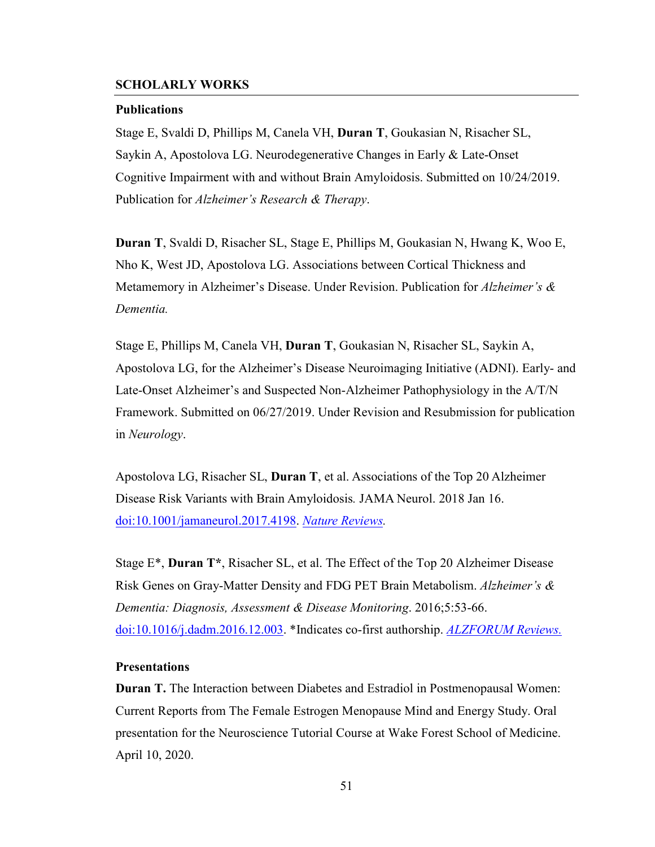## **SCHOLARLY WORKS**

#### **Publications**

Stage E, Svaldi D, Phillips M, Canela VH, **Duran T**, Goukasian N, Risacher SL, Saykin A, Apostolova LG. Neurodegenerative Changes in Early & Late-Onset Cognitive Impairment with and without Brain Amyloidosis. Submitted on 10/24/2019. Publication for *Alzheimer's Research & Therapy*.

**Duran T**, Svaldi D, Risacher SL, Stage E, Phillips M, Goukasian N, Hwang K, Woo E, Nho K, West JD, Apostolova LG. Associations between Cortical Thickness and Metamemory in Alzheimer's Disease. Under Revision. Publication for *Alzheimer's & Dementia.* 

Stage E, Phillips M, Canela VH, **Duran T**, Goukasian N, Risacher SL, Saykin A, Apostolova LG, for the Alzheimer's Disease Neuroimaging Initiative (ADNI). Early- and Late-Onset Alzheimer's and Suspected Non-Alzheimer Pathophysiology in the A/T/N Framework. Submitted on 06/27/2019. Under Revision and Resubmission for publication in *Neurology*.

Apostolova LG, Risacher SL, **Duran T**, et al. Associations of the Top 20 Alzheimer Disease Risk Variants with Brain Amyloidosis*.* JAMA Neurol. 2018 Jan 16. doi:10.1001/jamaneurol.2017.4198. *Nature Reviews.* 

Stage E\*, **Duran T\***, Risacher SL, et al. The Effect of the Top 20 Alzheimer Disease Risk Genes on Gray-Matter Density and FDG PET Brain Metabolism. *Alzheimer's & Dementia: Diagnosis, Assessment & Disease Monitoring*. 2016;5:53-66. doi:10.1016/j.dadm.2016.12.003. \*Indicates co-first authorship. *ALZFORUM Reviews.*

#### **Presentations**

**Duran T.** The Interaction between Diabetes and Estradiol in Postmenopausal Women: Current Reports from The Female Estrogen Menopause Mind and Energy Study. Oral presentation for the Neuroscience Tutorial Course at Wake Forest School of Medicine. April 10, 2020.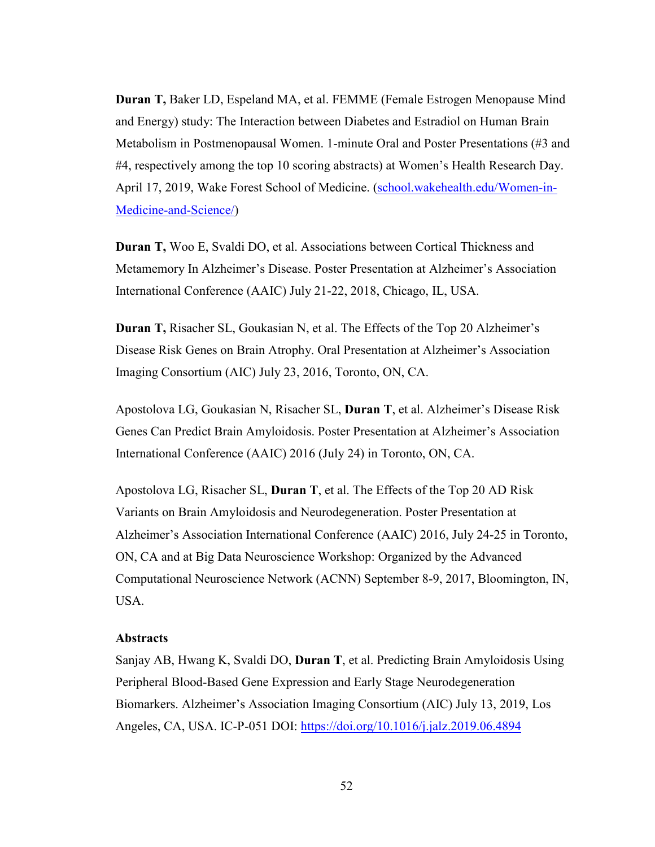**Duran T,** Baker LD, Espeland MA, et al. FEMME (Female Estrogen Menopause Mind and Energy) study: The Interaction between Diabetes and Estradiol on Human Brain Metabolism in Postmenopausal Women. 1-minute Oral and Poster Presentations (#3 and #4, respectively among the top 10 scoring abstracts) at Women's Health Research Day. April 17, 2019, Wake Forest School of Medicine. (school.wakehealth.edu/Women-in-Medicine-and-Science/)

**Duran T,** Woo E, Svaldi DO, et al. Associations between Cortical Thickness and Metamemory In Alzheimer's Disease. Poster Presentation at Alzheimer's Association International Conference (AAIC) July 21-22, 2018, Chicago, IL, USA.

**Duran T,** Risacher SL, Goukasian N, et al. The Effects of the Top 20 Alzheimer's Disease Risk Genes on Brain Atrophy. Oral Presentation at Alzheimer's Association Imaging Consortium (AIC) July 23, 2016, Toronto, ON, CA.

Apostolova LG, Goukasian N, Risacher SL, **Duran T**, et al. Alzheimer's Disease Risk Genes Can Predict Brain Amyloidosis. Poster Presentation at Alzheimer's Association International Conference (AAIC) 2016 (July 24) in Toronto, ON, CA.

Apostolova LG, Risacher SL, **Duran T**, et al. The Effects of the Top 20 AD Risk Variants on Brain Amyloidosis and Neurodegeneration. Poster Presentation at Alzheimer's Association International Conference (AAIC) 2016, July 24-25 in Toronto, ON, CA and at Big Data Neuroscience Workshop: Organized by the Advanced Computational Neuroscience Network (ACNN) September 8-9, 2017, Bloomington, IN, USA.

#### **Abstracts**

Sanjay AB, Hwang K, Svaldi DO, **Duran T**, et al. Predicting Brain Amyloidosis Using Peripheral Blood-Based Gene Expression and Early Stage Neurodegeneration Biomarkers. Alzheimer's Association Imaging Consortium (AIC) July 13, 2019, Los Angeles, CA, USA. IC-P-051 DOI: https://doi.org/10.1016/j.jalz.2019.06.4894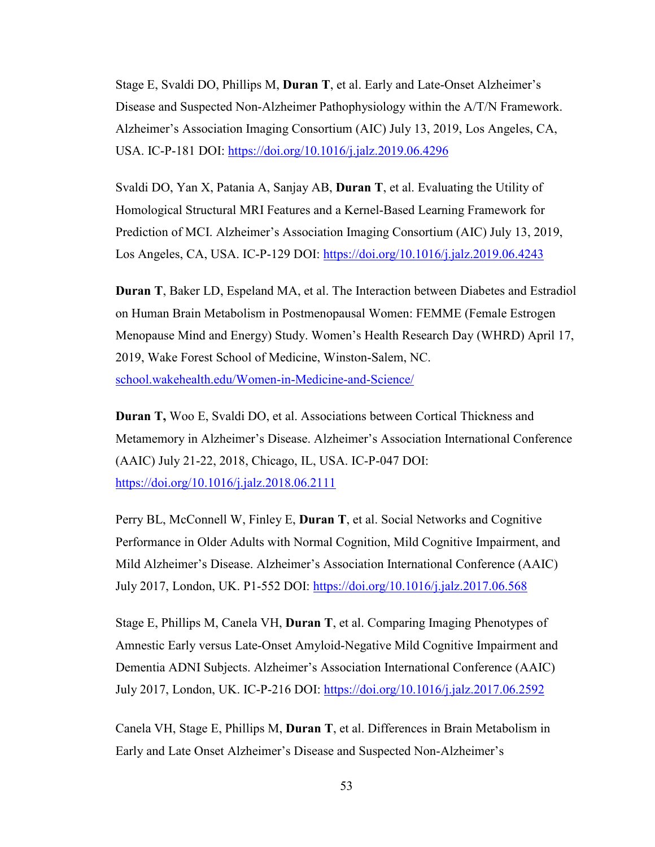Stage E, Svaldi DO, Phillips M, **Duran T**, et al. Early and Late-Onset Alzheimer's Disease and Suspected Non-Alzheimer Pathophysiology within the A/T/N Framework. Alzheimer's Association Imaging Consortium (AIC) July 13, 2019, Los Angeles, CA, USA. IC-P-181 DOI: https://doi.org/10.1016/j.jalz.2019.06.4296

Svaldi DO, Yan X, Patania A, Sanjay AB, **Duran T**, et al. Evaluating the Utility of Homological Structural MRI Features and a Kernel-Based Learning Framework for Prediction of MCI. Alzheimer's Association Imaging Consortium (AIC) July 13, 2019, Los Angeles, CA, USA. IC-P-129 DOI: https://doi.org/10.1016/j.jalz.2019.06.4243

**Duran T**, Baker LD, Espeland MA, et al. The Interaction between Diabetes and Estradiol on Human Brain Metabolism in Postmenopausal Women: FEMME (Female Estrogen Menopause Mind and Energy) Study. Women's Health Research Day (WHRD) April 17, 2019, Wake Forest School of Medicine, Winston-Salem, NC. school.wakehealth.edu/Women-in-Medicine-and-Science/

**Duran T,** Woo E, Svaldi DO, et al. Associations between Cortical Thickness and Metamemory in Alzheimer's Disease. Alzheimer's Association International Conference (AAIC) July 21-22, 2018, Chicago, IL, USA. IC-P-047 DOI: https://doi.org/10.1016/j.jalz.2018.06.2111

Perry BL, McConnell W, Finley E, **Duran T**, et al. Social Networks and Cognitive Performance in Older Adults with Normal Cognition, Mild Cognitive Impairment, and Mild Alzheimer's Disease. Alzheimer's Association International Conference (AAIC) July 2017, London, UK. P1-552 DOI: https://doi.org/10.1016/j.jalz.2017.06.568

Stage E, Phillips M, Canela VH, **Duran T**, et al. Comparing Imaging Phenotypes of Amnestic Early versus Late-Onset Amyloid-Negative Mild Cognitive Impairment and Dementia ADNI Subjects. Alzheimer's Association International Conference (AAIC) July 2017, London, UK. IC-P-216 DOI: https://doi.org/10.1016/j.jalz.2017.06.2592

Canela VH, Stage E, Phillips M, **Duran T**, et al. Differences in Brain Metabolism in Early and Late Onset Alzheimer's Disease and Suspected Non-Alzheimer's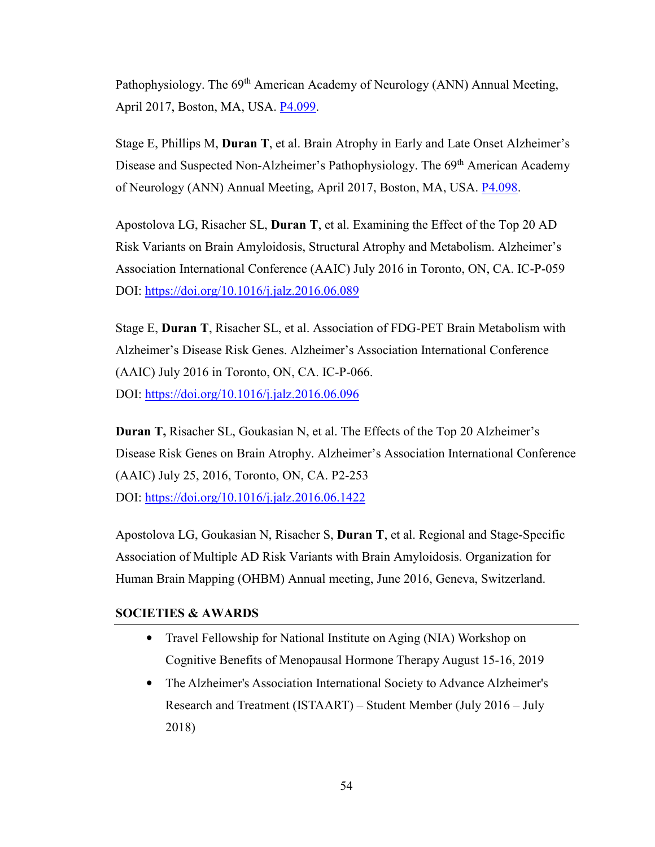Pathophysiology. The 69<sup>th</sup> American Academy of Neurology (ANN) Annual Meeting, April 2017, Boston, MA, USA. P4.099.

Stage E, Phillips M, **Duran T**, et al. Brain Atrophy in Early and Late Onset Alzheimer's Disease and Suspected Non-Alzheimer's Pathophysiology. The 69<sup>th</sup> American Academy of Neurology (ANN) Annual Meeting, April 2017, Boston, MA, USA. P4.098.

Apostolova LG, Risacher SL, **Duran T**, et al. Examining the Effect of the Top 20 AD Risk Variants on Brain Amyloidosis, Structural Atrophy and Metabolism. Alzheimer's Association International Conference (AAIC) July 2016 in Toronto, ON, CA. IC-P-059 DOI: https://doi.org/10.1016/j.jalz.2016.06.089

Stage E, **Duran T**, Risacher SL, et al. Association of FDG-PET Brain Metabolism with Alzheimer's Disease Risk Genes. Alzheimer's Association International Conference (AAIC) July 2016 in Toronto, ON, CA. IC-P-066. DOI: https://doi.org/10.1016/j.jalz.2016.06.096

**Duran T,** Risacher SL, Goukasian N, et al. The Effects of the Top 20 Alzheimer's Disease Risk Genes on Brain Atrophy. Alzheimer's Association International Conference (AAIC) July 25, 2016, Toronto, ON, CA. P2-253 DOI: https://doi.org/10.1016/j.jalz.2016.06.1422

Apostolova LG, Goukasian N, Risacher S, **Duran T**, et al. Regional and Stage-Specific Association of Multiple AD Risk Variants with Brain Amyloidosis. Organization for Human Brain Mapping (OHBM) Annual meeting, June 2016, Geneva, Switzerland.

# **SOCIETIES & AWARDS**

- Travel Fellowship for National Institute on Aging (NIA) Workshop on Cognitive Benefits of Menopausal Hormone Therapy August 15-16, 2019
- The Alzheimer's Association International Society to Advance Alzheimer's Research and Treatment (ISTAART) – Student Member (July 2016 – July 2018)